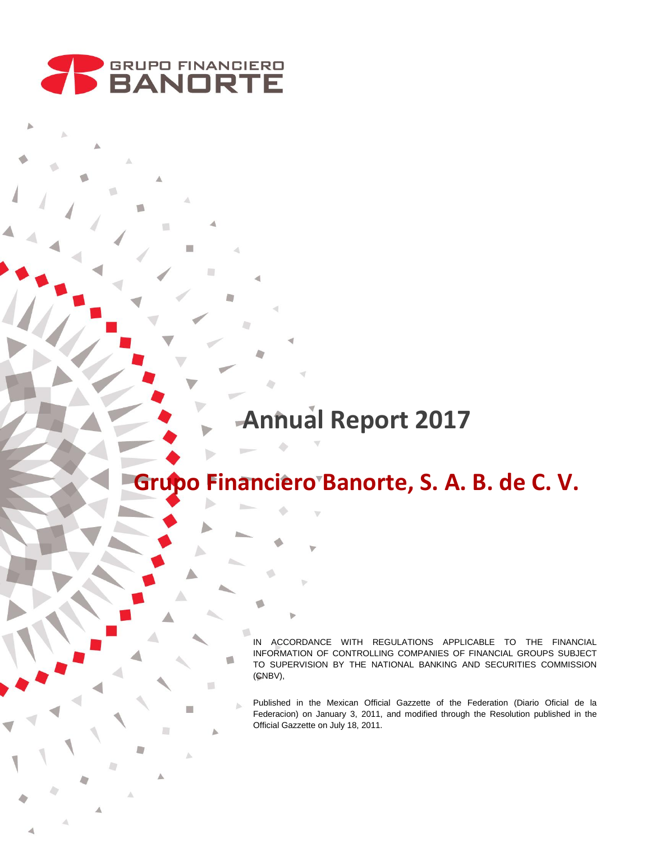

T.

Δ

# **Annual Report 2017**

# **Grupo Financiero Banorte, S. A. B. de C. V.**

IN ACCORDANCE WITH REGULATIONS APPLICABLE TO THE FINANCIAL INFORMATION OF CONTROLLING COMPANIES OF FINANCIAL GROUPS SUBJECT TO SUPERVISION BY THE NATIONAL BANKING AND SECURITIES COMMISSION (CNBV),

Published in the Mexican Official Gazzette of the Federation (Diario Oficial de la Federacion) on January 3, 2011, and modified through the Resolution published in the Official Gazzette on July 18, 2011.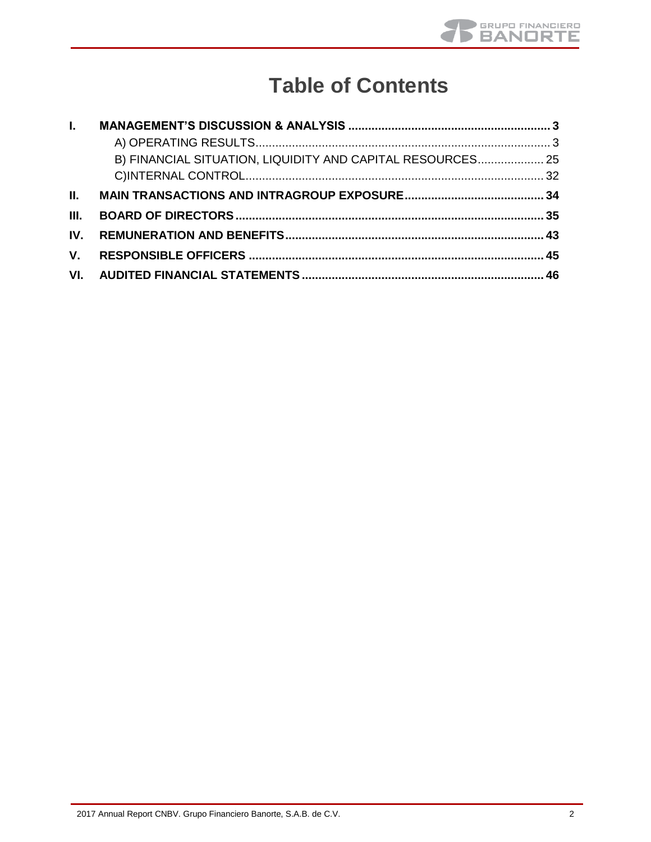

## **Table of Contents**

| $\mathbf{L}$ |                                                            |  |
|--------------|------------------------------------------------------------|--|
|              |                                                            |  |
|              | B) FINANCIAL SITUATION, LIQUIDITY AND CAPITAL RESOURCES 25 |  |
|              |                                                            |  |
| Ш.           |                                                            |  |
| III.         |                                                            |  |
| IV.          |                                                            |  |
| V.           |                                                            |  |
| VI.          |                                                            |  |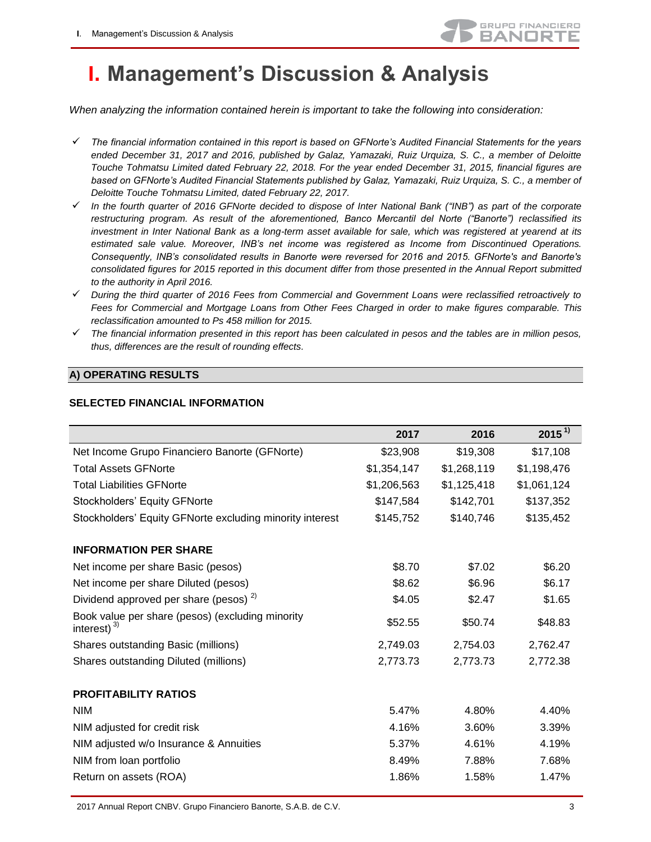

## <span id="page-2-0"></span>**I. Management's Discussion & Analysis**

*When analyzing the information contained herein is important to take the following into consideration:* 

- *The financial information contained in this report is based on GFNorte's Audited Financial Statements for the years ended December 31, 2017 and 2016, published by Galaz, Yamazaki, Ruiz Urquiza, S. C., a member of Deloitte Touche Tohmatsu Limited dated February 22, 2018. For the year ended December 31, 2015, financial figures are based on GFNorte's Audited Financial Statements published by Galaz, Yamazaki, Ruiz Urquiza, S. C., a member of Deloitte Touche Tohmatsu Limited, dated February 22, 2017.*
- *In the fourth quarter of 2016 GFNorte decided to dispose of Inter National Bank ("INB") as part of the corporate restructuring program. As result of the aforementioned, Banco Mercantil del Norte ("Banorte") reclassified its investment in Inter National Bank as a long-term asset available for sale, which was registered at yearend at its estimated sale value. Moreover, INB's net income was registered as Income from Discontinued Operations. Consequently, INB's consolidated results in Banorte were reversed for 2016 and 2015. GFNorte's and Banorte's consolidated figures for 2015 reported in this document differ from those presented in the Annual Report submitted to the authority in April 2016.*
- *During the third quarter of 2016 Fees from Commercial and Government Loans were reclassified retroactively to Fees for Commercial and Mortgage Loans from Other Fees Charged in order to make figures comparable. This reclassification amounted to Ps 458 million for 2015.*
- *The financial information presented in this report has been calculated in pesos and the tables are in million pesos, thus, differences are the result of rounding effects.*

### **A) OPERATING RESULTS**

|                                                                       | 2017        | 2016        | $2015^{1}$  |
|-----------------------------------------------------------------------|-------------|-------------|-------------|
| Net Income Grupo Financiero Banorte (GFNorte)                         | \$23,908    | \$19,308    | \$17,108    |
| <b>Total Assets GFNorte</b>                                           | \$1,354,147 | \$1,268,119 | \$1,198,476 |
| <b>Total Liabilities GFNorte</b>                                      | \$1,206,563 | \$1,125,418 | \$1,061,124 |
| Stockholders' Equity GFNorte                                          | \$147,584   | \$142,701   | \$137,352   |
| Stockholders' Equity GFNorte excluding minority interest              | \$145,752   | \$140,746   | \$135,452   |
| <b>INFORMATION PER SHARE</b>                                          |             |             |             |
| Net income per share Basic (pesos)                                    | \$8.70      | \$7.02      | \$6.20      |
| Net income per share Diluted (pesos)                                  | \$8.62      | \$6.96      | \$6.17      |
| Dividend approved per share (pesos) <sup>2)</sup>                     | \$4.05      | \$2.47      | \$1.65      |
| Book value per share (pesos) (excluding minority<br>interest) $^{3)}$ | \$52.55     | \$50.74     | \$48.83     |
| Shares outstanding Basic (millions)                                   | 2,749.03    | 2,754.03    | 2,762.47    |
| Shares outstanding Diluted (millions)                                 | 2,773.73    | 2,773.73    | 2,772.38    |
| <b>PROFITABILITY RATIOS</b>                                           |             |             |             |
| <b>NIM</b>                                                            | 5.47%       | 4.80%       | 4.40%       |
| NIM adjusted for credit risk                                          | 4.16%       | 3.60%       | 3.39%       |
| NIM adjusted w/o Insurance & Annuities                                | 5.37%       | 4.61%       | 4.19%       |
| NIM from loan portfolio                                               | 8.49%       | 7.88%       | 7.68%       |
| Return on assets (ROA)                                                | 1.86%       | 1.58%       | 1.47%       |

#### **SELECTED FINANCIAL INFORMATION**

2017 Annual Report CNBV. Grupo Financiero Banorte, S.A.B. de C.V. 3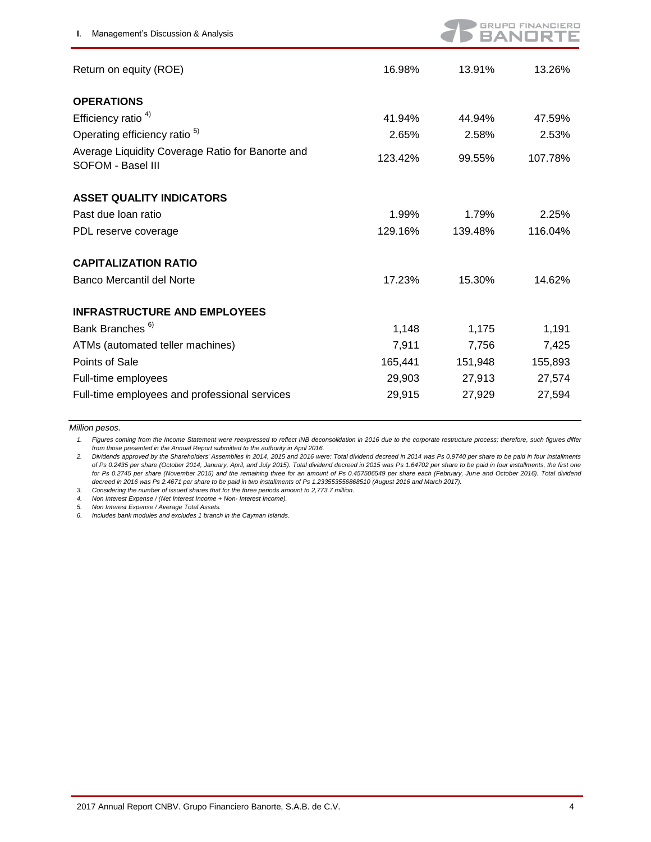

| Return on equity (ROE)                                                | 16.98%  | 13.91%  | 13.26%  |
|-----------------------------------------------------------------------|---------|---------|---------|
| <b>OPERATIONS</b>                                                     |         |         |         |
| Efficiency ratio $4$ )                                                | 41.94%  | 44.94%  | 47.59%  |
| Operating efficiency ratio <sup>5)</sup>                              | 2.65%   | 2.58%   | 2.53%   |
| Average Liquidity Coverage Ratio for Banorte and<br>SOFOM - Basel III | 123.42% | 99.55%  | 107.78% |
| <b>ASSET QUALITY INDICATORS</b>                                       |         |         |         |
| Past due loan ratio                                                   | 1.99%   | 1.79%   | 2.25%   |
| PDL reserve coverage                                                  | 129.16% | 139.48% | 116.04% |
| <b>CAPITALIZATION RATIO</b>                                           |         |         |         |
| Banco Mercantil del Norte                                             | 17.23%  | 15.30%  | 14.62%  |
| <b>INFRASTRUCTURE AND EMPLOYEES</b>                                   |         |         |         |
| Bank Branches <sup>6)</sup>                                           | 1,148   | 1,175   | 1,191   |
| ATMs (automated teller machines)                                      | 7,911   | 7,756   | 7,425   |
| Points of Sale                                                        | 165,441 | 151,948 | 155,893 |
| Full-time employees                                                   | 29,903  | 27,913  | 27,574  |
| Full-time employees and professional services                         | 29,915  | 27,929  | 27,594  |

*Million pesos.* 

*1. Figures coming from the Income Statement were reexpressed to reflect INB deconsolidation in 2016 due to the corporate restructure process; therefore, such figures differ from those presented in the Annual Report submitted to the authority in April 2016.*

*2. Dividends approved by the Shareholders' Assemblies in 2014, 2015 and 2016 were: Total dividend decreed in 2014 was Ps 0.9740 per share to be paid in four installments of Ps 0.2435 per share (October 2014, January, April, and July 2015). Total dividend decreed in 2015 was Ps 1.64702 per share to be paid in four installments, the first one for Ps 0.2745 per share (November 2015) and the remaining three for an amount of Ps 0.457506549 per share each (February, June and October 2016). Total dividend decreed in 2016 was Ps 2.4671 per share to be paid in two installments of Ps 1.233553556868510 (August 2016 and March 2017).*

*3. Considering the number of issued shares that for the three periods amount to 2,773.7 million.*

*4. Non Interest Expense / (Net Interest Income + Non- Interest Income).* 

*5. Non Interest Expense / Average Total Assets.* 

*6. Includes bank modules and excludes 1 branch in the Cayman Islands.*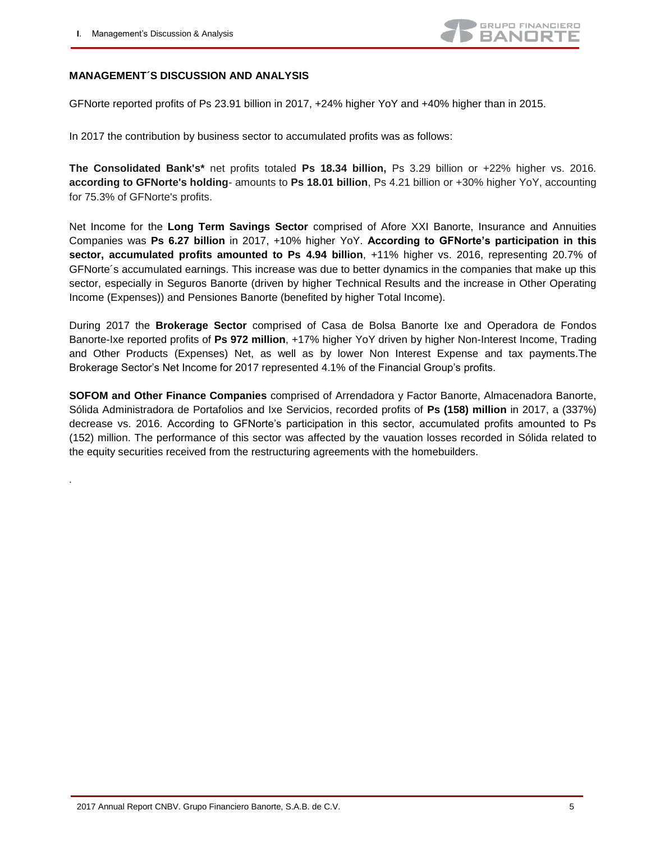.



#### **MANAGEMENT´S DISCUSSION AND ANALYSIS**

GFNorte reported profits of Ps 23.91 billion in 2017, +24% higher YoY and +40% higher than in 2015.

In 2017 the contribution by business sector to accumulated profits was as follows:

**The Consolidated Bank's\*** net profits totaled **Ps 18.34 billion,** Ps 3.29 billion or +22% higher vs. 2016*.*  **according to GFNorte's holding**- amounts to **Ps 18.01 billion**, Ps 4.21 billion or +30% higher YoY, accounting for 75.3% of GFNorte's profits.

Net Income for the **Long Term Savings Sector** comprised of Afore XXI Banorte, Insurance and Annuities Companies was **Ps 6.27 billion** in 2017, +10% higher YoY. **According to GFNorte's participation in this sector, accumulated profits amounted to Ps 4.94 billion**, +11% higher vs. 2016, representing 20.7% of GFNorte´s accumulated earnings. This increase was due to better dynamics in the companies that make up this sector, especially in Seguros Banorte (driven by higher Technical Results and the increase in Other Operating Income (Expenses)) and Pensiones Banorte (benefited by higher Total Income).

During 2017 the **Brokerage Sector** comprised of Casa de Bolsa Banorte Ixe and Operadora de Fondos Banorte-Ixe reported profits of **Ps 972 million**, +17% higher YoY driven by higher Non-Interest Income, Trading and Other Products (Expenses) Net, as well as by lower Non Interest Expense and tax payments.The Brokerage Sector's Net Income for 2017 represented 4.1% of the Financial Group's profits.

**SOFOM and Other Finance Companies** comprised of Arrendadora y Factor Banorte, Almacenadora Banorte, Sólida Administradora de Portafolios and Ixe Servicios, recorded profits of **Ps (158) million** in 2017, a (337%) decrease vs. 2016. According to GFNorte's participation in this sector, accumulated profits amounted to Ps (152) million. The performance of this sector was affected by the vauation losses recorded in Sólida related to the equity securities received from the restructuring agreements with the homebuilders.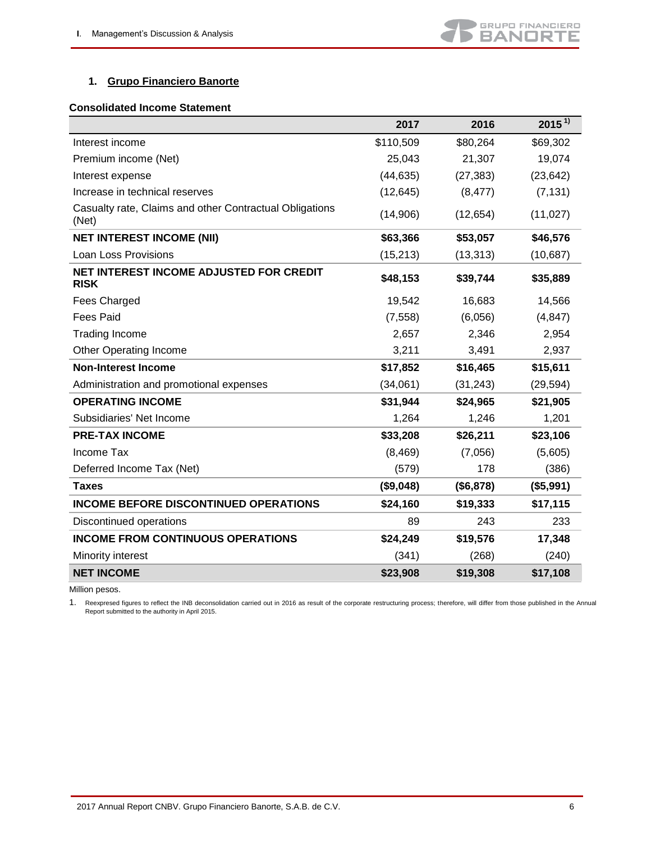## **1. Grupo Financiero Banorte**

#### **Consolidated Income Statement**

|                                                                  | 2017      | 2016      | $2015^{1}$ |
|------------------------------------------------------------------|-----------|-----------|------------|
| Interest income                                                  | \$110,509 | \$80,264  | \$69,302   |
| Premium income (Net)                                             | 25,043    | 21,307    | 19,074     |
| Interest expense                                                 | (44, 635) | (27, 383) | (23, 642)  |
| Increase in technical reserves                                   | (12, 645) | (8, 477)  | (7, 131)   |
| Casualty rate, Claims and other Contractual Obligations<br>(Net) | (14,906)  | (12, 654) | (11, 027)  |
| <b>NET INTEREST INCOME (NII)</b>                                 | \$63,366  | \$53,057  | \$46,576   |
| Loan Loss Provisions                                             | (15, 213) | (13, 313) | (10,687)   |
| NET INTEREST INCOME ADJUSTED FOR CREDIT<br><b>RISK</b>           | \$48,153  | \$39,744  | \$35,889   |
| <b>Fees Charged</b>                                              | 19,542    | 16,683    | 14,566     |
| <b>Fees Paid</b>                                                 | (7, 558)  | (6,056)   | (4, 847)   |
| <b>Trading Income</b>                                            | 2,657     | 2,346     | 2,954      |
| <b>Other Operating Income</b>                                    | 3,211     | 3,491     | 2,937      |
| <b>Non-Interest Income</b>                                       | \$17,852  | \$16,465  | \$15,611   |
| Administration and promotional expenses                          | (34,061)  | (31, 243) | (29, 594)  |
| <b>OPERATING INCOME</b>                                          | \$31,944  | \$24,965  | \$21,905   |
| Subsidiaries' Net Income                                         | 1,264     | 1,246     | 1,201      |
| <b>PRE-TAX INCOME</b>                                            | \$33,208  | \$26,211  | \$23,106   |
| Income Tax                                                       | (8,469)   | (7,056)   | (5,605)    |
| Deferred Income Tax (Net)                                        | (579)     | 178       | (386)      |
| <b>Taxes</b>                                                     | (\$9,048) | (\$6,878) | (\$5,991)  |
| <b>INCOME BEFORE DISCONTINUED OPERATIONS</b>                     | \$24,160  | \$19,333  | \$17,115   |
| Discontinued operations                                          | 89        | 243       | 233        |
| <b>INCOME FROM CONTINUOUS OPERATIONS</b>                         | \$24,249  | \$19,576  | 17,348     |
| Minority interest                                                | (341)     | (268)     | (240)      |
| <b>NET INCOME</b>                                                | \$23,908  | \$19,308  | \$17,108   |

Million pesos.

1. Reexpresed figures to reflect the INB deconsolidation carried out in 2016 as result of the corporate restructuring process; therefore, will differ from those published in the Annual Report submitted to the authority in April 2015.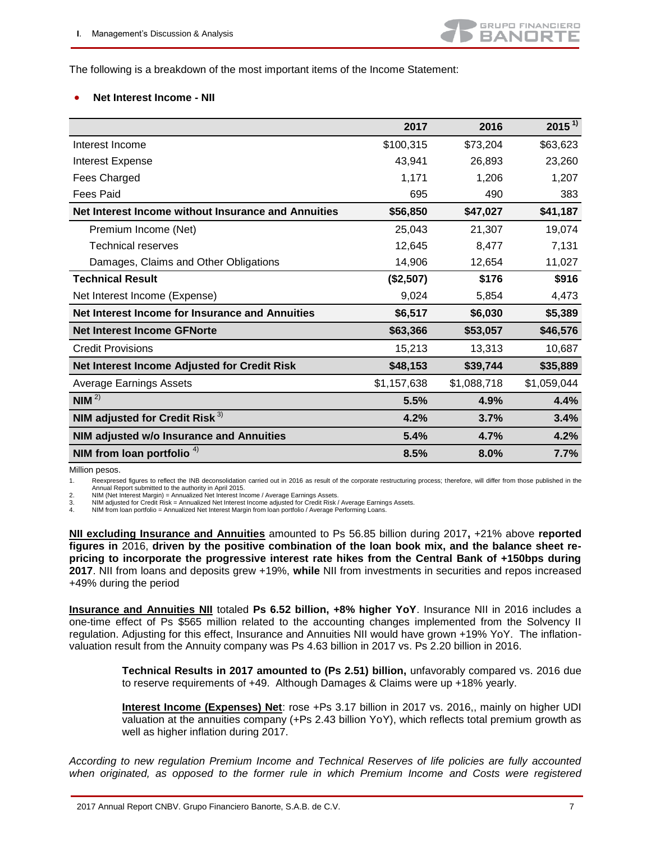The following is a breakdown of the most important items of the Income Statement:

#### **Net Interest Income - NII**

|                                                     | 2017        | 2016        | $2015^{11}$ |
|-----------------------------------------------------|-------------|-------------|-------------|
| Interest Income                                     | \$100,315   | \$73,204    | \$63,623    |
| Interest Expense                                    | 43,941      | 26,893      | 23,260      |
| Fees Charged                                        | 1,171       | 1,206       | 1,207       |
| <b>Fees Paid</b>                                    | 695         | 490         | 383         |
| Net Interest Income without Insurance and Annuities | \$56,850    | \$47,027    | \$41,187    |
| Premium Income (Net)                                | 25,043      | 21,307      | 19,074      |
| <b>Technical reserves</b>                           | 12,645      | 8,477       | 7,131       |
| Damages, Claims and Other Obligations               | 14,906      | 12,654      | 11,027      |
| <b>Technical Result</b>                             | (\$2,507)   | \$176       | \$916       |
| Net Interest Income (Expense)                       | 9,024       | 5,854       | 4,473       |
| Net Interest Income for Insurance and Annuities     | \$6,517     | \$6,030     | \$5,389     |
| <b>Net Interest Income GFNorte</b>                  | \$63,366    | \$53,057    | \$46,576    |
| <b>Credit Provisions</b>                            | 15,213      | 13,313      | 10,687      |
| Net Interest Income Adjusted for Credit Risk        | \$48,153    | \$39,744    | \$35,889    |
| <b>Average Earnings Assets</b>                      | \$1,157,638 | \$1,088,718 | \$1,059,044 |
| NIM <sup>2</sup>                                    | 5.5%        | 4.9%        | 4.4%        |
| NIM adjusted for Credit Risk $^{3)}$                | 4.2%        | 3.7%        | 3.4%        |
| NIM adjusted w/o Insurance and Annuities            | 5.4%        | 4.7%        | 4.2%        |
| NIM from loan portfolio <sup><math>4)</math></sup>  | 8.5%        | 8.0%        | 7.7%        |

Million pesos.

1. Reexpresed figures to reflect the INB deconsolidation carried out in 2016 as result of the corporate restructuring process; therefore, will differ from those published in the Annual Report submitted to the authority in April 2015.

2. NIM (Net Interest Margin) = Annualized Net Interest Income / Average Earnings Assets. 3. NIM adjusted for Credit Risk = Annualized Net Interest Income adjusted for Credit Risk / Average Earnings Assets.

4. NIM from loan portfolio = Annualized Net Interest Margin from loan portfolio / Average Performing Loans.

**NII excluding Insurance and Annuities** amounted to Ps 56.85 billion during 2017, +21% above reported **figures in** 2016, **driven by the positive combination of the loan book mix, and the balance sheet repricing to incorporate the progressive interest rate hikes from the Central Bank of +150bps during 2017**. NII from loans and deposits grew +19%, **while** NII from investments in securities and repos increased +49% during the period

**Insurance and Annuities NII** totaled **Ps 6.52 billion, +8% higher YoY**. Insurance NII in 2016 includes a one-time effect of Ps \$565 million related to the accounting changes implemented from the Solvency II regulation. Adjusting for this effect, Insurance and Annuities NII would have grown +19% YoY. The inflationvaluation result from the Annuity company was Ps 4.63 billion in 2017 vs. Ps 2.20 billion in 2016.

> **Technical Results in 2017 amounted to (Ps 2.51) billion,** unfavorably compared vs. 2016 due to reserve requirements of +49. Although Damages & Claims were up +18% yearly.

> **Interest Income (Expenses) Net**: rose +Ps 3.17 billion in 2017 vs. 2016,, mainly on higher UDI valuation at the annuities company (+Ps 2.43 billion YoY), which reflects total premium growth as well as higher inflation during 2017.

*According to new regulation Premium Income and Technical Reserves of life policies are fully accounted when originated, as opposed to the former rule in which Premium Income and Costs were registered*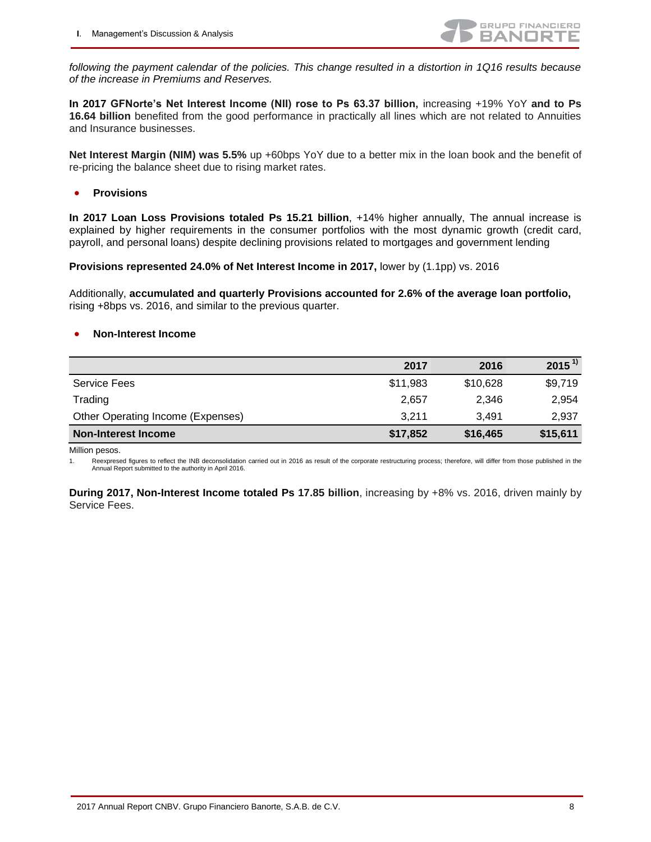

*following the payment calendar of the policies. This change resulted in a distortion in 1Q16 results because of the increase in Premiums and Reserves.*

**In 2017 GFNorte's Net Interest Income (NII) rose to Ps 63.37 billion,** increasing +19% YoY **and to Ps 16.64 billion** benefited from the good performance in practically all lines which are not related to Annuities and Insurance businesses.

**Net Interest Margin (NIM) was 5.5%** up +60bps YoY due to a better mix in the loan book and the benefit of re-pricing the balance sheet due to rising market rates.

**•** Provisions

**In 2017 Loan Loss Provisions totaled Ps 15.21 billion**, +14% higher annually, The annual increase is explained by higher requirements in the consumer portfolios with the most dynamic growth (credit card, payroll, and personal loans) despite declining provisions related to mortgages and government lending

**Provisions represented 24.0% of Net Interest Income in 2017,** lower by (1.1pp) vs. 2016

Additionally, **accumulated and quarterly Provisions accounted for 2.6% of the average loan portfolio,**  rising +8bps vs. 2016, and similar to the previous quarter.

#### **Non-Interest Income**

|                                   | 2017     | 2016     | $2015^{1}$ |
|-----------------------------------|----------|----------|------------|
| Service Fees                      | \$11,983 | \$10,628 | \$9,719    |
| Trading                           | 2,657    | 2,346    | 2,954      |
| Other Operating Income (Expenses) | 3.211    | 3.491    | 2,937      |
| <b>Non-Interest Income</b>        | \$17,852 | \$16,465 | \$15,611   |

Million pesos.

1. Reexpresed figures to reflect the INB deconsolidation carried out in 2016 as result of the corporate restructuring process; therefore, will differ from those published in the Annual Report submitted to the authority in April 2016.

**During 2017, Non-Interest Income totaled Ps 17.85 billion**, increasing by +8% vs. 2016, driven mainly by Service Fees.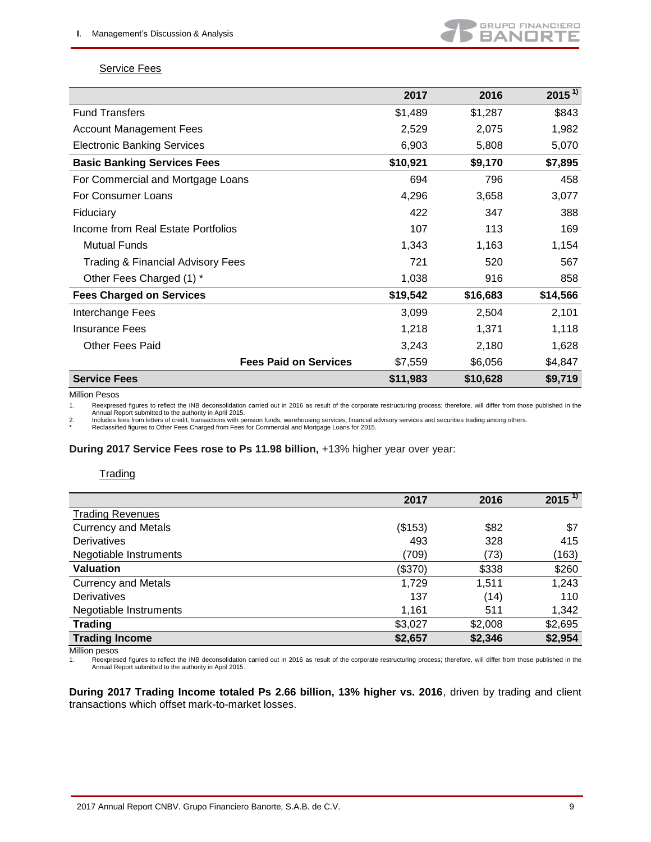

#### **Service Fees**

|                                              | 2017     | 2016     | $2015^{1}$ |
|----------------------------------------------|----------|----------|------------|
| <b>Fund Transfers</b>                        | \$1,489  | \$1,287  | \$843      |
| <b>Account Management Fees</b>               | 2,529    | 2,075    | 1,982      |
| <b>Electronic Banking Services</b>           | 6,903    | 5,808    | 5,070      |
| <b>Basic Banking Services Fees</b>           | \$10,921 | \$9,170  | \$7,895    |
| For Commercial and Mortgage Loans            | 694      | 796      | 458        |
| For Consumer Loans                           | 4,296    | 3,658    | 3,077      |
| Fiduciary                                    | 422      | 347      | 388        |
| Income from Real Estate Portfolios           | 107      | 113      | 169        |
| <b>Mutual Funds</b>                          | 1,343    | 1,163    | 1,154      |
| <b>Trading &amp; Financial Advisory Fees</b> | 721      | 520      | 567        |
| Other Fees Charged (1) *                     | 1,038    | 916      | 858        |
| <b>Fees Charged on Services</b>              | \$19,542 | \$16,683 | \$14,566   |
| Interchange Fees                             | 3,099    | 2,504    | 2,101      |
| <b>Insurance Fees</b>                        | 1,218    | 1,371    | 1,118      |
| <b>Other Fees Paid</b>                       | 3,243    | 2,180    | 1,628      |
| <b>Fees Paid on Services</b>                 | \$7,559  | \$6,056  | \$4,847    |
| <b>Service Fees</b>                          | \$11,983 | \$10,628 | \$9,719    |

Million Pesos

1. Reexpresed figures to reflect the INB deconsolidation carried out in 2016 as result of the corporate restructuring process; therefore, will differ from those published in the Annual Report submitted to the authority in April 2015.

2. Includes fees from letters of credit, transactions with pension funds, warehousing services, financial advisory services and securities trading among others.<br>\* Reclassified figures to Other Fees Charged from Fee

#### **During 2017 Service Fees rose to Ps 11.98 billion,** +13% higher year over year:

#### **Trading**

|                            | 2017    | 2016    | $2015^{11}$ |
|----------------------------|---------|---------|-------------|
| <b>Trading Revenues</b>    |         |         |             |
| <b>Currency and Metals</b> | (\$153) | \$82    | \$7         |
| <b>Derivatives</b>         | 493     | 328     | 415         |
| Negotiable Instruments     | (709)   | (73)    | (163)       |
| <b>Valuation</b>           | (\$370) | \$338   | \$260       |
| <b>Currency and Metals</b> | 1,729   | 1,511   | 1,243       |
| <b>Derivatives</b>         | 137     | (14)    | 110         |
| Negotiable Instruments     | 1,161   | 511     | 1,342       |
| <b>Trading</b>             | \$3,027 | \$2,008 | \$2,695     |
| <b>Trading Income</b>      | \$2,657 | \$2,346 | \$2,954     |

Million pesos<br>1. Reexpres Reexpresed figures to reflect the INB deconsolidation carried out in 2016 as result of the corporate restructuring process; therefore, will differ from those published in the Annual Report submitted to the authority in April 2015.

**During 2017 Trading Income totaled Ps 2.66 billion, 13% higher vs. 2016**, driven by trading and client transactions which offset mark-to-market losses.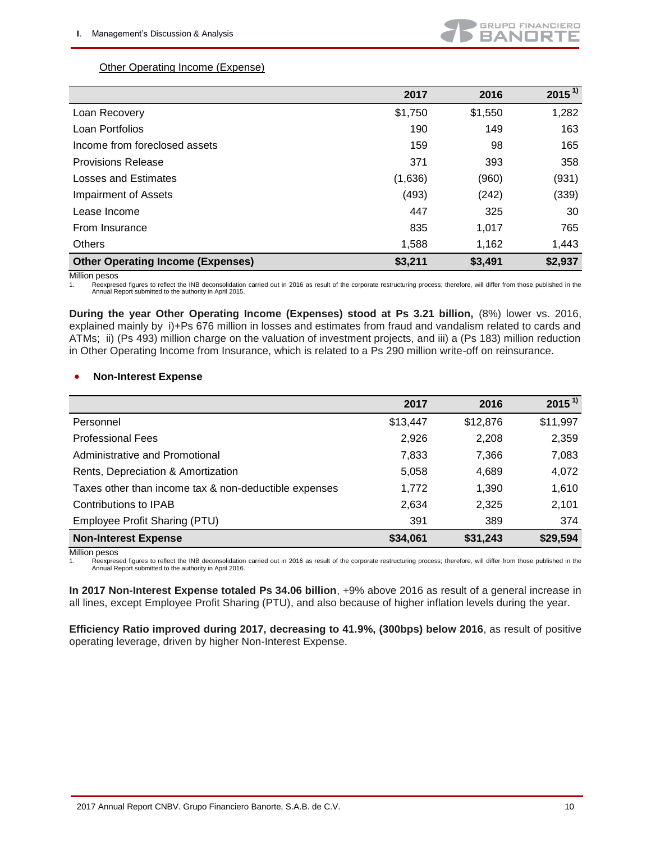## Other Operating Income (Expense)

|                                          | 2017    | 2016    | $2015^{1}$ |
|------------------------------------------|---------|---------|------------|
| Loan Recovery                            | \$1,750 | \$1,550 | 1,282      |
| Loan Portfolios                          | 190     | 149     | 163        |
| Income from foreclosed assets            | 159     | 98      | 165        |
| <b>Provisions Release</b>                | 371     | 393     | 358        |
| Losses and Estimates                     | (1,636) | (960)   | (931)      |
| Impairment of Assets                     | (493)   | (242)   | (339)      |
| Lease Income                             | 447     | 325     | 30         |
| From Insurance                           | 835     | 1,017   | 765        |
| Others                                   | 1,588   | 1,162   | 1,443      |
| <b>Other Operating Income (Expenses)</b> | \$3,211 | \$3,491 | \$2,937    |

Million pesos

1. Reexpresed figures to reflect the INB deconsolidation carried out in 2016 as result of the corporate restructuring process; therefore, will differ from those published in the Annual Report submitted to the authority in April 2015.

**During the year Other Operating Income (Expenses) stood at Ps 3.21 billion,** (8%) lower vs. 2016, explained mainly by i)+Ps 676 million in losses and estimates from fraud and vandalism related to cards and ATMs; ii) (Ps 493) million charge on the valuation of investment projects, and iii) a (Ps 183) million reduction in Other Operating Income from Insurance, which is related to a Ps 290 million write-off on reinsurance.

### **Non-Interest Expense**

|                                                       | 2017     | 2016     | $2015^{1}$ |
|-------------------------------------------------------|----------|----------|------------|
| Personnel                                             | \$13,447 | \$12,876 | \$11,997   |
| <b>Professional Fees</b>                              | 2,926    | 2,208    | 2,359      |
| Administrative and Promotional                        | 7,833    | 7,366    | 7,083      |
| Rents, Depreciation & Amortization                    | 5,058    | 4,689    | 4,072      |
| Taxes other than income tax & non-deductible expenses | 1,772    | 1,390    | 1,610      |
| Contributions to IPAB                                 | 2,634    | 2,325    | 2,101      |
| Employee Profit Sharing (PTU)                         | 391      | 389      | 374        |
| <b>Non-Interest Expense</b>                           | \$34,061 | \$31,243 | \$29,594   |

Million pesos

1. Reexpresed figures to reflect the INB deconsolidation carried out in 2016 as result of the corporate restructuring process; therefore, will differ from those published in the Annual Report submitted to the authority in April 2016.

**In 2017 Non-Interest Expense totaled Ps 34.06 billion**, +9% above 2016 as result of a general increase in all lines, except Employee Profit Sharing (PTU), and also because of higher inflation levels during the year.

**Efficiency Ratio improved during 2017, decreasing to 41.9%, (300bps) below 2016**, as result of positive operating leverage, driven by higher Non-Interest Expense.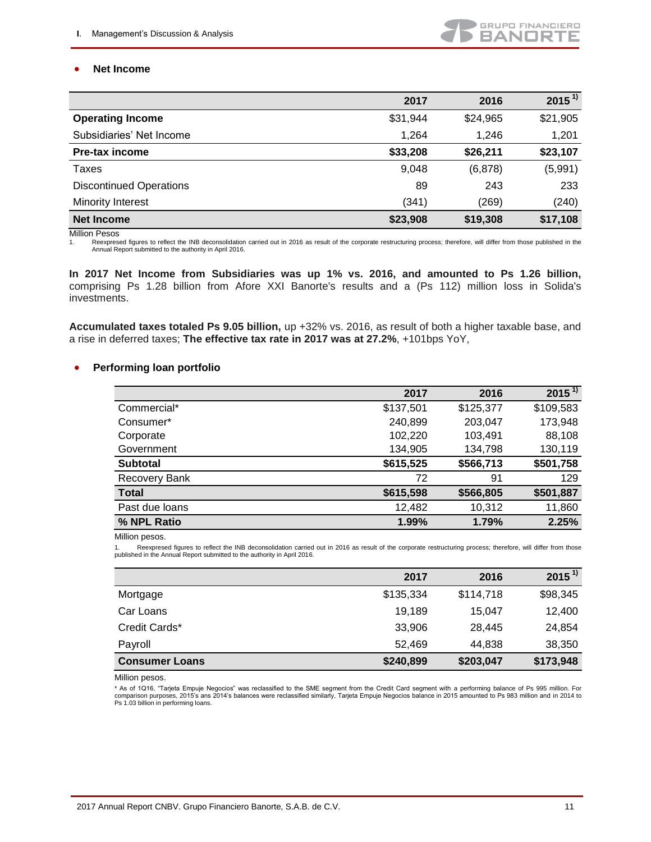#### **Net Income**

|                                | 2017     | 2016     | $2015^{1}$ |
|--------------------------------|----------|----------|------------|
| <b>Operating Income</b>        | \$31,944 | \$24,965 | \$21,905   |
| Subsidiaries' Net Income       | 1,264    | 1.246    | 1,201      |
| Pre-tax income                 | \$33,208 | \$26,211 | \$23,107   |
| Taxes                          | 9,048    | (6, 878) | (5,991)    |
| <b>Discontinued Operations</b> | 89       | 243      | 233        |
| Minority Interest              | (341)    | (269)    | (240)      |
| <b>Net Income</b>              | \$23,908 | \$19,308 | \$17,108   |

Million Pesos

1. Reexpresed figures to reflect the INB deconsolidation carried out in 2016 as result of the corporate restructuring process; therefore, will differ from those published in the Annual Report submitted to the authority in April 2016.

**In 2017 Net Income from Subsidiaries was up 1% vs. 2016, and amounted to Ps 1.26 billion,**  comprising Ps 1.28 billion from Afore XXI Banorte's results and a (Ps 112) million loss in Solida's investments.

**Accumulated taxes totaled Ps 9.05 billion,** up +32% vs. 2016, as result of both a higher taxable base, and a rise in deferred taxes; **The effective tax rate in 2017 was at 27.2%**, +101bps YoY,

#### **•** Performing loan portfolio

|                 | 2017      | 2016      | $2015^{11}$ |
|-----------------|-----------|-----------|-------------|
| Commercial*     | \$137,501 | \$125,377 | \$109,583   |
| Consumer*       | 240,899   | 203,047   | 173,948     |
| Corporate       | 102,220   | 103,491   | 88,108      |
| Government      | 134,905   | 134,798   | 130,119     |
| <b>Subtotal</b> | \$615,525 | \$566,713 | \$501,758   |
| Recovery Bank   | 72        | 91        | 129         |
| <b>Total</b>    | \$615,598 | \$566,805 | \$501,887   |
| Past due loans  | 12,482    | 10,312    | 11,860      |
| % NPL Ratio     | 1.99%     | 1.79%     | 2.25%       |

Million pesos.

1. Reexpresed figures to reflect the INB deconsolidation carried out in 2016 as result of the corporate restructuring process; therefore, will differ from those published in the Annual Report submitted to the authority in April 2016.

|                       | 2017      | 2016      | $2015^{1}$ |
|-----------------------|-----------|-----------|------------|
| Mortgage              | \$135,334 | \$114,718 | \$98,345   |
| Car Loans             | 19,189    | 15.047    | 12,400     |
| Credit Cards*         | 33,906    | 28,445    | 24,854     |
| Payroll               | 52,469    | 44,838    | 38,350     |
| <b>Consumer Loans</b> | \$240,899 | \$203,047 | \$173,948  |

Million pesos.

\* As of 1Q16, "Tarjeta Empuje Negocios" was reclassified to the SME segment from the Credit Card segment with a performing balance of Ps 995 million. For comparison purposes, 2015's ans 2014's balances were reclassified similarly, Tarjeta Empuje Negocios balance in 2015 amounted to Ps 983 million and in 2014 to Ps 1.03 billion in performing loans.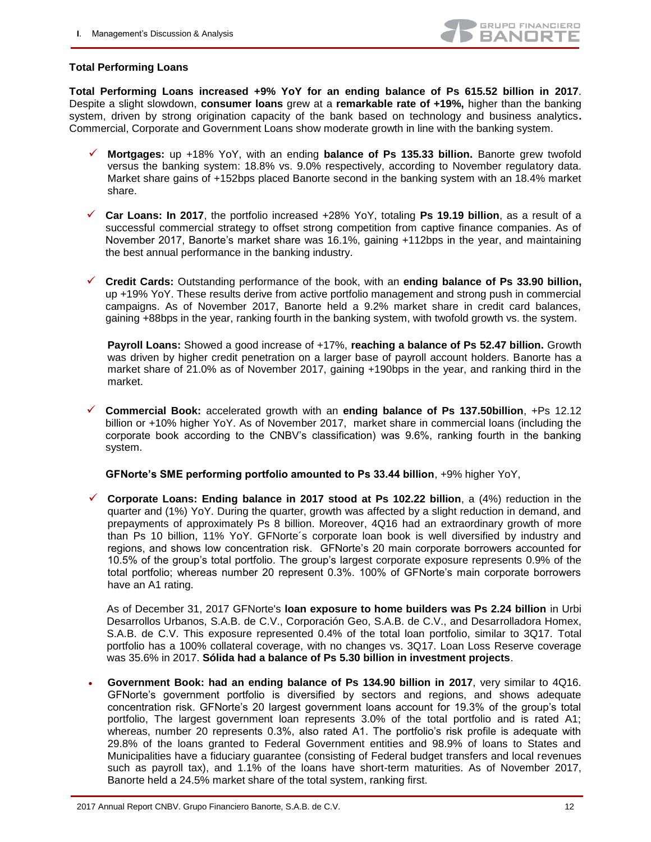#### **Total Performing Loans**

**Total Performing Loans increased +9% YoY for an ending balance of Ps 615.52 billion in 2017**. Despite a slight slowdown, **consumer loans** grew at a **remarkable rate of +19%,** higher than the banking system, driven by strong origination capacity of the bank based on technology and business analytics**.**  Commercial, Corporate and Government Loans show moderate growth in line with the banking system.

- **Mortgages:** up +18% YoY, with an ending **balance of Ps 135.33 billion.** Banorte grew twofold versus the banking system: 18.8% vs. 9.0% respectively, according to November regulatory data. Market share gains of +152bps placed Banorte second in the banking system with an 18.4% market share.
- **Car Loans: In 2017**, the portfolio increased +28% YoY, totaling **Ps 19.19 billion**, as a result of a successful commercial strategy to offset strong competition from captive finance companies. As of November 2017, Banorte's market share was 16.1%, gaining +112bps in the year, and maintaining the best annual performance in the banking industry.
- **Credit Cards:** Outstanding performance of the book, with an **ending balance of Ps 33.90 billion,** up +19% YoY. These results derive from active portfolio management and strong push in commercial campaigns. As of November 2017, Banorte held a 9.2% market share in credit card balances, gaining +88bps in the year, ranking fourth in the banking system, with twofold growth vs. the system.

**Payroll Loans:** Showed a good increase of +17%, **reaching a balance of Ps 52.47 billion.** Growth was driven by higher credit penetration on a larger base of payroll account holders. Banorte has a market share of 21.0% as of November 2017, gaining +190bps in the year, and ranking third in the market.

 **Commercial Book:** accelerated growth with an **ending balance of Ps 137.50billion**, +Ps 12.12 billion or +10% higher YoY. As of November 2017, market share in commercial loans (including the corporate book according to the CNBV's classification) was 9.6%, ranking fourth in the banking system.

**GFNorte's SME performing portfolio amounted to Ps 33.44 billion**, +9% higher YoY,

 **Corporate Loans: Ending balance in 2017 stood at Ps 102.22 billion**, a (4%) reduction in the quarter and (1%) YoY. During the quarter, growth was affected by a slight reduction in demand, and prepayments of approximately Ps 8 billion. Moreover, 4Q16 had an extraordinary growth of more than Ps 10 billion, 11% YoY. GFNorte´s corporate loan book is well diversified by industry and regions, and shows low concentration risk. GFNorte's 20 main corporate borrowers accounted for 10.5% of the group's total portfolio. The group's largest corporate exposure represents 0.9% of the total portfolio; whereas number 20 represent 0.3%. 100% of GFNorte's main corporate borrowers have an A1 rating.

As of December 31, 2017 GFNorte's **loan exposure to home builders was Ps 2.24 billion** in Urbi Desarrollos Urbanos, S.A.B. de C.V., Corporación Geo, S.A.B. de C.V., and Desarrolladora Homex, S.A.B. de C.V. This exposure represented 0.4% of the total loan portfolio, similar to 3Q17. Total portfolio has a 100% collateral coverage, with no changes vs. 3Q17. Loan Loss Reserve coverage was 35.6% in 2017. **Sólida had a balance of Ps 5.30 billion in investment projects**.

 **Government Book: had an ending balance of Ps 134.90 billion in 2017**, very similar to 4Q16. GFNorte's government portfolio is diversified by sectors and regions, and shows adequate concentration risk. GFNorte's 20 largest government loans account for 19.3% of the group's total portfolio, The largest government loan represents 3.0% of the total portfolio and is rated A1; whereas, number 20 represents 0.3%, also rated A1. The portfolio's risk profile is adequate with 29.8% of the loans granted to Federal Government entities and 98.9% of loans to States and Municipalities have a fiduciary guarantee (consisting of Federal budget transfers and local revenues such as payroll tax), and 1.1% of the loans have short-term maturities. As of November 2017, Banorte held a 24.5% market share of the total system, ranking first.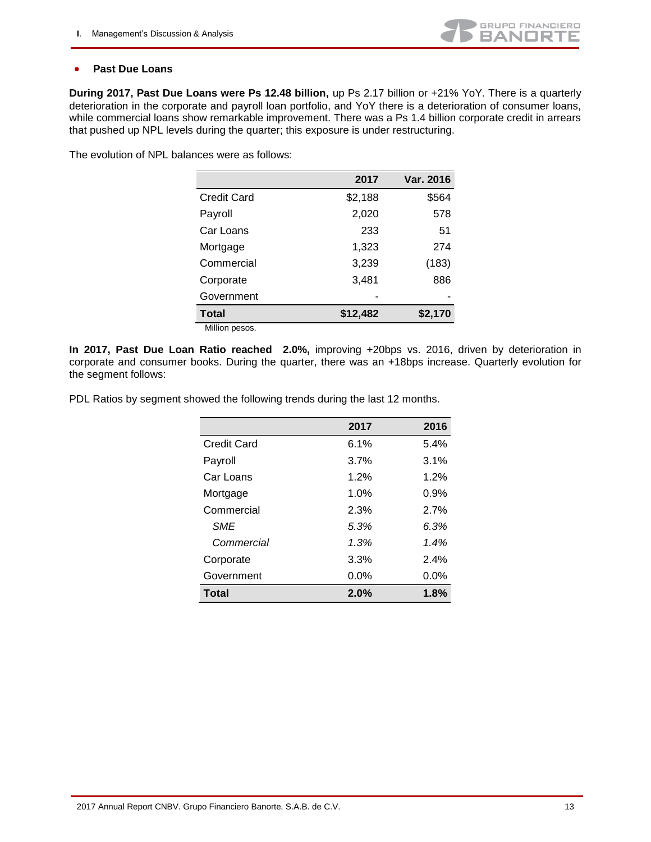

#### **Past Due Loans**

**During 2017, Past Due Loans were Ps 12.48 billion,** up Ps 2.17 billion or +21% YoY. There is a quarterly deterioration in the corporate and payroll loan portfolio, and YoY there is a deterioration of consumer loans, while commercial loans show remarkable improvement. There was a Ps 1.4 billion corporate credit in arrears that pushed up NPL levels during the quarter; this exposure is under restructuring.

The evolution of NPL balances were as follows:

|                    | 2017     | Var. 2016 |
|--------------------|----------|-----------|
| <b>Credit Card</b> | \$2,188  | \$564     |
| Payroll            | 2,020    | 578       |
| Car Loans          | 233      | 51        |
| Mortgage           | 1,323    | 274       |
| Commercial         | 3,239    | (183)     |
| Corporate          | 3,481    | 886       |
| Government         |          |           |
| <b>Total</b>       | \$12,482 | \$2,170   |
| Million pesos.     |          |           |

**In 2017, Past Due Loan Ratio reached 2.0%,** improving +20bps vs. 2016, driven by deterioration in corporate and consumer books. During the quarter, there was an +18bps increase. Quarterly evolution for the segment follows:

PDL Ratios by segment showed the following trends during the last 12 months.

|                    | 2017 | 2016    |
|--------------------|------|---------|
| <b>Credit Card</b> | 6.1% | 5.4%    |
| Payroll            | 3.7% | 3.1%    |
| Car Loans          | 1.2% | 1.2%    |
| Mortgage           | 1.0% | 0.9%    |
| Commercial         | 2.3% | 2.7%    |
| <b>SME</b>         | 5.3% | 6.3%    |
| Commercial         | 1.3% | 1.4%    |
| Corporate          | 3.3% | 2.4%    |
| Government         | 0.0% | $0.0\%$ |
| <b>Total</b>       | 2.0% | 1.8%    |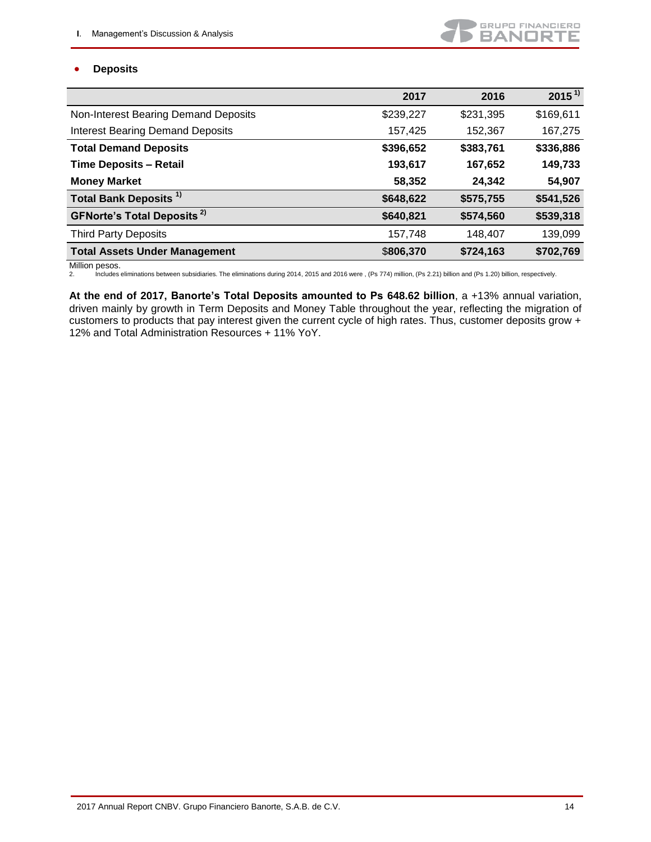## GRUPO FINANCIERO **BANDRTE**

### **Deposits**

|                                              | 2017      | 2016      | $2015^{11}$ |
|----------------------------------------------|-----------|-----------|-------------|
| Non-Interest Bearing Demand Deposits         | \$239,227 | \$231,395 | \$169,611   |
| <b>Interest Bearing Demand Deposits</b>      | 157,425   | 152,367   | 167,275     |
| <b>Total Demand Deposits</b>                 | \$396,652 | \$383,761 | \$336,886   |
| <b>Time Deposits - Retail</b>                | 193,617   | 167,652   | 149,733     |
| <b>Money Market</b>                          | 58,352    | 24,342    | 54,907      |
| Total Bank Deposits <sup>1)</sup>            | \$648,622 | \$575,755 | \$541,526   |
| <b>GFNorte's Total Deposits<sup>2)</sup></b> | \$640,821 | \$574,560 | \$539,318   |
| <b>Third Party Deposits</b>                  | 157,748   | 148,407   | 139,099     |
| <b>Total Assets Under Management</b>         | \$806,370 | \$724,163 | \$702,769   |

Million pesos.<br>2. Includes 2. Includes eliminations between subsidiaries. The eliminations during 2014, 2015 and 2016 were , (Ps 774) million, (Ps 2.21) billion and (Ps 1.20) billion, respectively.

**At the end of 2017, Banorte's Total Deposits amounted to Ps 648.62 billion**, a +13% annual variation, driven mainly by growth in Term Deposits and Money Table throughout the year, reflecting the migration of customers to products that pay interest given the current cycle of high rates. Thus, customer deposits grow + 12% and Total Administration Resources + 11% YoY.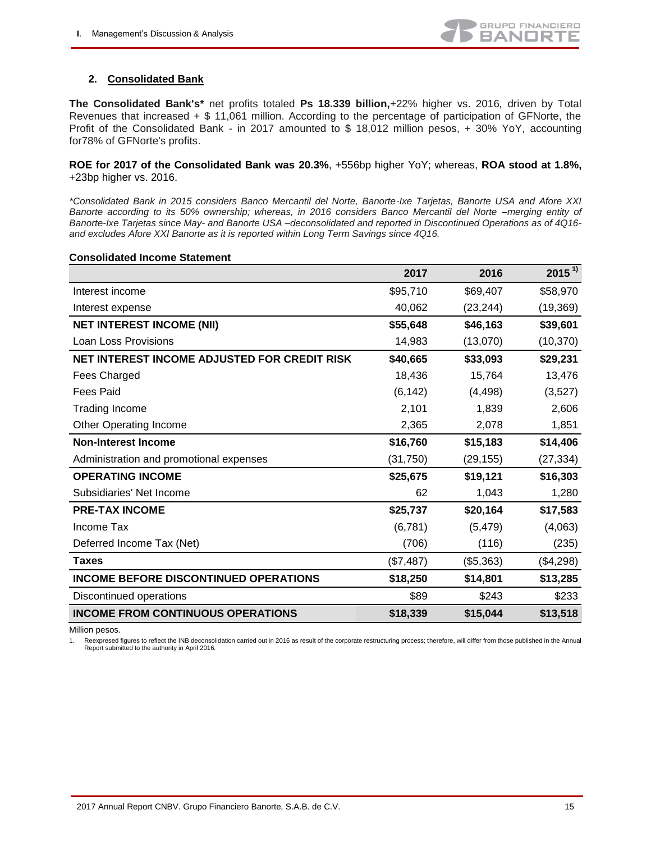

## **2. Consolidated Bank**

**The Consolidated Bank's\*** net profits totaled **Ps 18.339 billion,**+22% higher vs. 2016*,* driven by Total Revenues that increased + \$ 11,061 million. According to the percentage of participation of GFNorte, the Profit of the Consolidated Bank - in 2017 amounted to \$ 18,012 million pesos, + 30% YoY, accounting for78% of GFNorte's profits.

#### **ROE for 2017 of the Consolidated Bank was 20.3%**, +556bp higher YoY; whereas, **ROA stood at 1.8%,** +23bp higher vs. 2016.

*\*Consolidated Bank in 2015 considers Banco Mercantil del Norte, Banorte-Ixe Tarjetas, Banorte USA and Afore XXI Banorte according to its 50% ownership; whereas, in 2016 considers Banco Mercantil del Norte –merging entity of Banorte-Ixe Tarjetas since May- and Banorte USA –deconsolidated and reported in Discontinued Operations as of 4Q16 and excludes Afore XXI Banorte as it is reported within Long Term Savings since 4Q16.*

#### **Consolidated Income Statement**

|                                              | 2017      | 2016      | $2015^{11}$ |
|----------------------------------------------|-----------|-----------|-------------|
| Interest income                              | \$95,710  | \$69,407  | \$58,970    |
| Interest expense                             | 40,062    | (23, 244) | (19, 369)   |
| <b>NET INTEREST INCOME (NII)</b>             | \$55,648  | \$46,163  | \$39,601    |
| Loan Loss Provisions                         | 14,983    | (13,070)  | (10, 370)   |
| NET INTEREST INCOME ADJUSTED FOR CREDIT RISK | \$40,665  | \$33,093  | \$29,231    |
| Fees Charged                                 | 18,436    | 15,764    | 13,476      |
| <b>Fees Paid</b>                             | (6, 142)  | (4, 498)  | (3,527)     |
| <b>Trading Income</b>                        | 2,101     | 1,839     | 2,606       |
| <b>Other Operating Income</b>                | 2,365     | 2,078     | 1,851       |
| <b>Non-Interest Income</b>                   | \$16,760  | \$15,183  | \$14,406    |
| Administration and promotional expenses      | (31,750)  | (29,155)  | (27, 334)   |
| <b>OPERATING INCOME</b>                      | \$25,675  | \$19,121  | \$16,303    |
| Subsidiaries' Net Income                     | 62        | 1,043     | 1,280       |
| <b>PRE-TAX INCOME</b>                        | \$25,737  | \$20,164  | \$17,583    |
| Income Tax                                   | (6, 781)  | (5, 479)  | (4,063)     |
| Deferred Income Tax (Net)                    | (706)     | (116)     | (235)       |
| <b>Taxes</b>                                 | (\$7,487) | (\$5,363) | (\$4,298)   |
| <b>INCOME BEFORE DISCONTINUED OPERATIONS</b> | \$18,250  | \$14,801  | \$13,285    |
| Discontinued operations                      | \$89      | \$243     | \$233       |
| <b>INCOME FROM CONTINUOUS OPERATIONS</b>     | \$18,339  | \$15,044  | \$13,518    |

Million pesos.

1. Reexpresed figures to reflect the INB deconsolidation carried out in 2016 as result of the corporate restructuring process; therefore, will differ from those published in the Annual Report submitted to the authority in April 2016.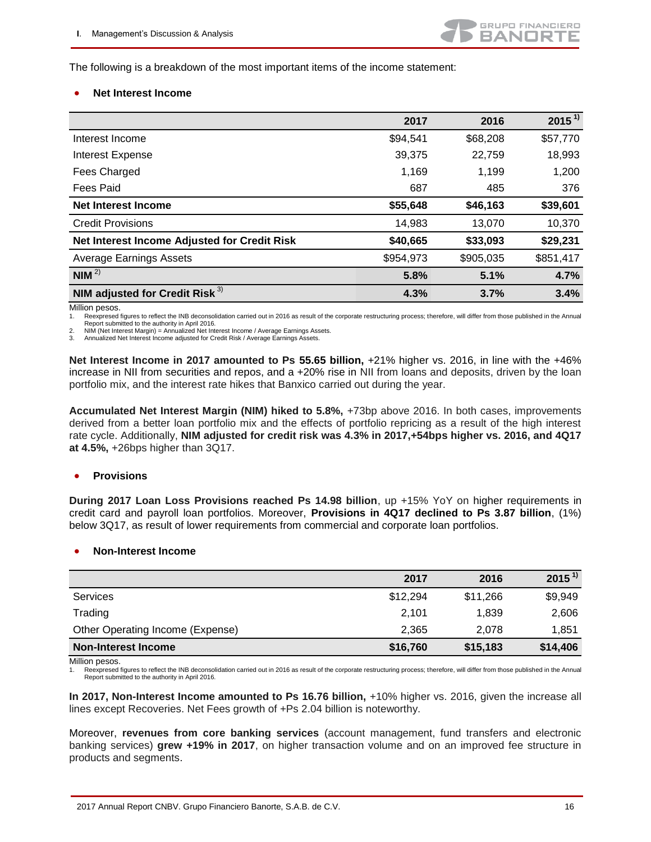The following is a breakdown of the most important items of the income statement:

#### **Net Interest Income**

|                                              | 2017      | 2016      | $2015^{1}$ |
|----------------------------------------------|-----------|-----------|------------|
| Interest Income                              | \$94,541  | \$68,208  | \$57,770   |
| Interest Expense                             | 39,375    | 22,759    | 18,993     |
| Fees Charged                                 | 1,169     | 1,199     | 1,200      |
| <b>Fees Paid</b>                             | 687       | 485       | 376        |
| <b>Net Interest Income</b>                   | \$55,648  | \$46,163  | \$39,601   |
| <b>Credit Provisions</b>                     | 14,983    | 13,070    | 10,370     |
| Net Interest Income Adjusted for Credit Risk | \$40,665  | \$33,093  | \$29,231   |
| <b>Average Earnings Assets</b>               | \$954,973 | \$905,035 | \$851,417  |
| NIM <sup>2</sup>                             | 5.8%      | 5.1%      | 4.7%       |
| NIM adjusted for Credit Risk <sup>3)</sup>   | 4.3%      | 3.7%      | 3.4%       |

Million pesos.

1. Reexpresed figures to reflect the INB deconsolidation carried out in 2016 as result of the corporate restructuring process; therefore, will differ from those published in the Annual Report submitted to the authority in April 2016.

2. NIM (Net Interest Margin) = Annualized Net Interest Income / Average Earnings Assets.<br>3. Annualized Net Interest Income adjusted for Credit Risk / Average Farnings Assets. Annualized Net Interest Income adjusted for Credit Risk / Average Earnings Assets.

**Net Interest Income in 2017 amounted to Ps 55.65 billion,** +21% higher vs. 2016, in line with the +46% increase in NII from securities and repos, and a +20% rise in NII from loans and deposits, driven by the loan portfolio mix, and the interest rate hikes that Banxico carried out during the year.

**Accumulated Net Interest Margin (NIM) hiked to 5.8%,** +73bp above 2016. In both cases, improvements derived from a better loan portfolio mix and the effects of portfolio repricing as a result of the high interest rate cycle. Additionally, **NIM adjusted for credit risk was 4.3% in 2017,+54bps higher vs. 2016, and 4Q17 at 4.5%,** +26bps higher than 3Q17.

#### **•** Provisions

**During 2017 Loan Loss Provisions reached Ps 14.98 billion**, up +15% YoY on higher requirements in credit card and payroll loan portfolios. Moreover, **Provisions in 4Q17 declined to Ps 3.87 billion**, (1%) below 3Q17, as result of lower requirements from commercial and corporate loan portfolios.

#### **Non-Interest Income**

|                                  | 2017     | 2016     | $2015^{1}$ |
|----------------------------------|----------|----------|------------|
| <b>Services</b>                  | \$12,294 | \$11,266 | \$9,949    |
| Trading                          | 2,101    | 1.839    | 2,606      |
| Other Operating Income (Expense) | 2,365    | 2.078    | 1,851      |
| <b>Non-Interest Income</b>       | \$16,760 | \$15,183 | \$14,406   |

Million pesos.

Reexpresed figures to reflect the INB deconsolidation carried out in 2016 as result of the corporate restructuring process; therefore, will differ from those published in the Annual Report submitted to the authority in April 2016.

**In 2017, Non-Interest Income amounted to Ps 16.76 billion,** +10% higher vs. 2016, given the increase all lines except Recoveries. Net Fees growth of +Ps 2.04 billion is noteworthy.

Moreover, **revenues from core banking services** (account management, fund transfers and electronic banking services) **grew +19% in 2017**, on higher transaction volume and on an improved fee structure in products and segments.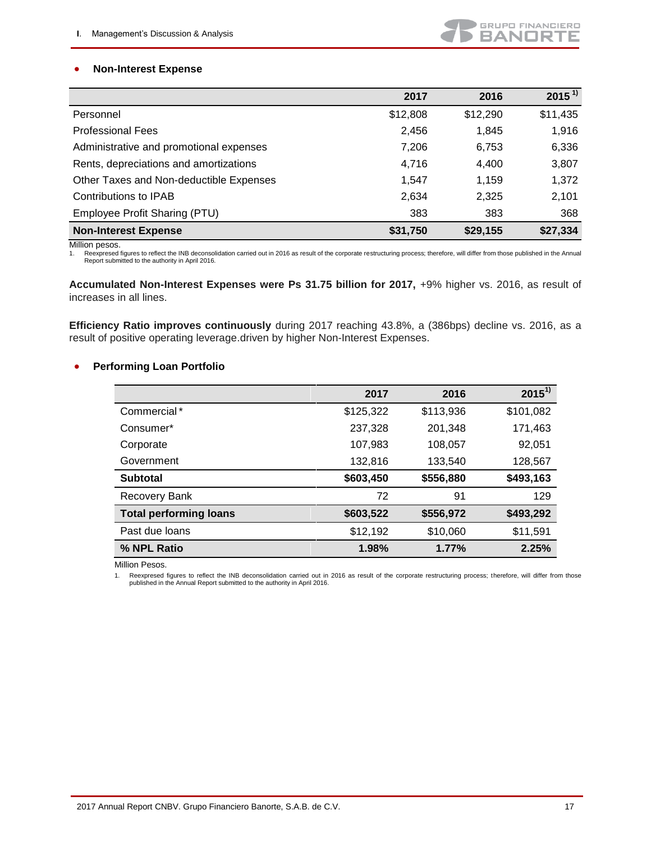## **Non-Interest Expense**

|                                         | 2017     | 2016     | $2015^{11}$ |
|-----------------------------------------|----------|----------|-------------|
| Personnel                               | \$12,808 | \$12,290 | \$11,435    |
| <b>Professional Fees</b>                | 2,456    | 1,845    | 1,916       |
| Administrative and promotional expenses | 7,206    | 6,753    | 6,336       |
| Rents, depreciations and amortizations  | 4,716    | 4,400    | 3,807       |
| Other Taxes and Non-deductible Expenses | 1.547    | 1,159    | 1,372       |
| Contributions to IPAB                   | 2,634    | 2,325    | 2,101       |
| Employee Profit Sharing (PTU)           | 383      | 383      | 368         |
| <b>Non-Interest Expense</b>             | \$31,750 | \$29,155 | \$27,334    |

Million pesos.

1. Reexpresed figures to reflect the INB deconsolidation carried out in 2016 as result of the corporate restructuring process; therefore, will differ from those published in the Annual Report submitted to the authority in April 2016.

**Accumulated Non-Interest Expenses were Ps 31.75 billion for 2017,** +9% higher vs. 2016, as result of increases in all lines.

**Efficiency Ratio improves continuously** during 2017 reaching 43.8%, a (386bps) decline vs. 2016, as a result of positive operating leverage.driven by higher Non-Interest Expenses.

#### **•** Performing Loan Portfolio

|                               | 2017      | 2016      | $2015^{1}$ |
|-------------------------------|-----------|-----------|------------|
| Commercial*                   | \$125,322 | \$113,936 | \$101,082  |
| Consumer*                     | 237,328   | 201,348   | 171,463    |
| Corporate                     | 107,983   | 108,057   | 92,051     |
| Government                    | 132,816   | 133,540   | 128,567    |
| <b>Subtotal</b>               | \$603,450 | \$556,880 | \$493,163  |
| Recovery Bank                 | 72        | 91        | 129        |
| <b>Total performing loans</b> | \$603,522 | \$556,972 | \$493,292  |
| Past due loans                | \$12,192  | \$10,060  | \$11,591   |
| % NPL Ratio                   | 1.98%     | 1.77%     | 2.25%      |

Million Pesos.

1. Reexpresed figures to reflect the INB deconsolidation carried out in 2016 as result of the corporate restructuring process; therefore, will differ from those published in the Annual Report submitted to the authority in April 2016.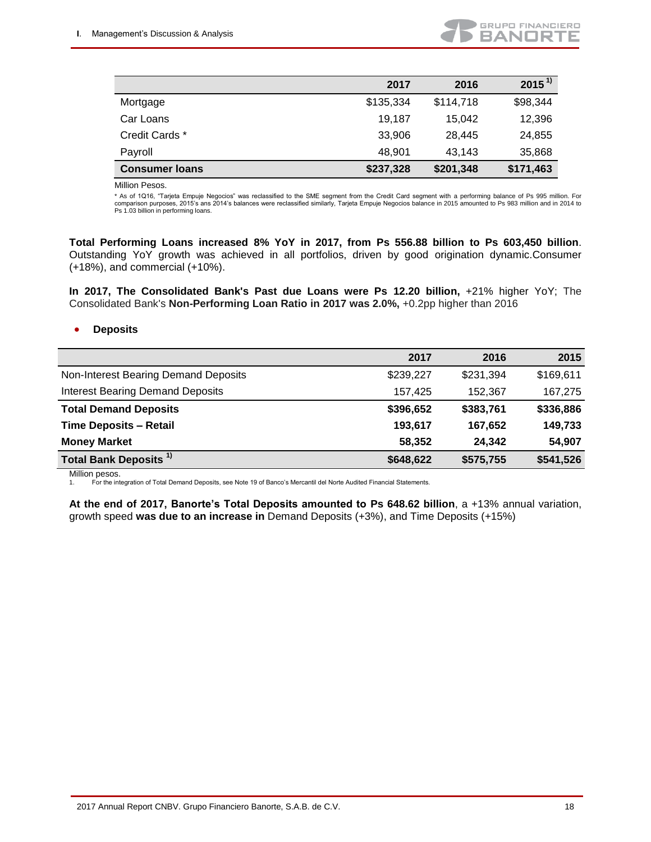

|                       | 2017      | 2016      | $2015^{1}$ |
|-----------------------|-----------|-----------|------------|
| Mortgage              | \$135,334 | \$114,718 | \$98,344   |
| Car Loans             | 19,187    | 15,042    | 12,396     |
| Credit Cards *        | 33,906    | 28,445    | 24,855     |
| Payroll               | 48.901    | 43,143    | 35,868     |
| <b>Consumer loans</b> | \$237,328 | \$201,348 | \$171,463  |

Million Pesos.

\* As of 1Q16, "Tarjeta Empuje Negocios" was reclassified to the SME segment from the Credit Card segment with a performing balance of Ps 995 million. For comparison purposes, 2015's ans 2014's balances were reclassified similarly, Tarjeta Empuje Negocios balance in 2015 amounted to Ps 983 million and in 2014 to Ps 1.03 billion in performing loans.

**Total Performing Loans increased 8% YoY in 2017, from Ps 556.88 billion to Ps 603,450 billion**. Outstanding YoY growth was achieved in all portfolios, driven by good origination dynamic.Consumer (+18%), and commercial (+10%).

**In 2017, The Consolidated Bank's Past due Loans were Ps 12.20 billion,** +21% higher YoY; The Consolidated Bank's **Non-Performing Loan Ratio in 2017 was 2.0%,** +0.2pp higher than 2016

#### **Deposits**

|                                         | 2017      | 2016      | 2015      |
|-----------------------------------------|-----------|-----------|-----------|
| Non-Interest Bearing Demand Deposits    | \$239,227 | \$231,394 | \$169,611 |
| <b>Interest Bearing Demand Deposits</b> | 157,425   | 152,367   | 167,275   |
| <b>Total Demand Deposits</b>            | \$396,652 | \$383,761 | \$336,886 |
| <b>Time Deposits - Retail</b>           | 193,617   | 167,652   | 149,733   |
| <b>Money Market</b>                     | 58,352    | 24,342    | 54,907    |
| <b>Total Bank Deposits<sup>1)</sup></b> | \$648,622 | \$575,755 | \$541,526 |

Million pesos.

1. For the integration of Total Demand Deposits, see Note 19 of Banco's Mercantil del Norte Audited Financial Statements.

**At the end of 2017, Banorte's Total Deposits amounted to Ps 648.62 billion**, a +13% annual variation, growth speed **was due to an increase in** Demand Deposits (+3%), and Time Deposits (+15%)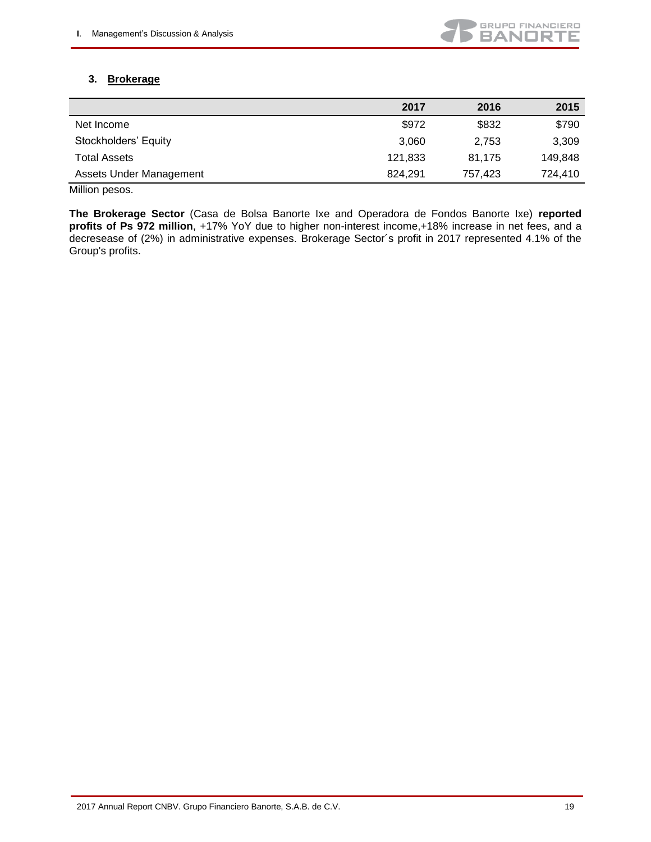

## **3. Brokerage**

|                         | 2017    | 2016    | 2015    |
|-------------------------|---------|---------|---------|
| Net Income              | \$972   | \$832   | \$790   |
| Stockholders' Equity    | 3.060   | 2.753   | 3,309   |
| Total Assets            | 121,833 | 81.175  | 149.848 |
| Assets Under Management | 824.291 | 757.423 | 724.410 |

Million pesos.

**The Brokerage Sector** (Casa de Bolsa Banorte Ixe and Operadora de Fondos Banorte Ixe) **reported profits of Ps 972 million**, +17% YoY due to higher non-interest income,+18% increase in net fees, and a decresease of (2%) in administrative expenses. Brokerage Sector´s profit in 2017 represented 4.1% of the Group's profits.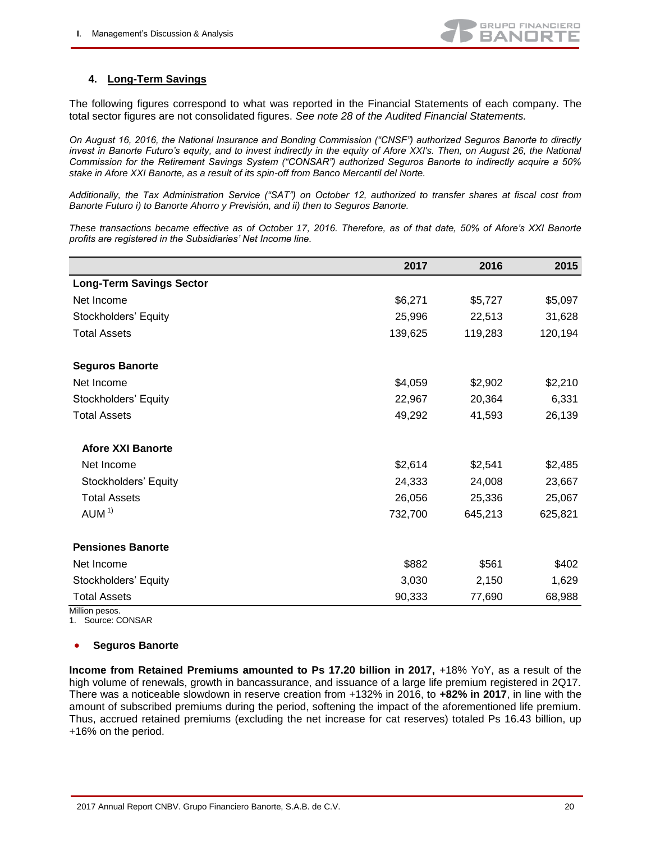## **4. Long-Term Savings**

The following figures correspond to what was reported in the Financial Statements of each company. The total sector figures are not consolidated figures. *See note 28 of the Audited Financial Statements.*

*On August 16, 2016, the National Insurance and Bonding Commission ("CNSF") authorized Seguros Banorte to directly*  invest in Banorte Futuro's equity, and to invest indirectly in the equity of Afore XXI's. Then, on August 26, the National *Commission for the Retirement Savings System ("CONSAR") authorized Seguros Banorte to indirectly acquire a 50% stake in Afore XXI Banorte, as a result of its spin-off from Banco Mercantil del Norte.*

*Additionally, the Tax Administration Service ("SAT") on October 12, authorized to transfer shares at fiscal cost from Banorte Futuro i) to Banorte Ahorro y Previsión, and ii) then to Seguros Banorte.*

*These transactions became effective as of October 17, 2016. Therefore, as of that date, 50% of Afore's XXI Banorte profits are registered in the Subsidiaries' Net Income line.*

|                                 | 2017    | 2016    | 2015    |
|---------------------------------|---------|---------|---------|
| <b>Long-Term Savings Sector</b> |         |         |         |
| Net Income                      | \$6,271 | \$5,727 | \$5,097 |
| Stockholders' Equity            | 25,996  | 22,513  | 31,628  |
| <b>Total Assets</b>             | 139,625 | 119,283 | 120,194 |
|                                 |         |         |         |
| <b>Seguros Banorte</b>          |         |         |         |
| Net Income                      | \$4,059 | \$2,902 | \$2,210 |
| Stockholders' Equity            | 22,967  | 20,364  | 6,331   |
| <b>Total Assets</b>             | 49,292  | 41,593  | 26,139  |
| <b>Afore XXI Banorte</b>        |         |         |         |
| Net Income                      | \$2,614 | \$2,541 | \$2,485 |
| Stockholders' Equity            | 24,333  | 24,008  | 23,667  |
| <b>Total Assets</b>             | 26,056  | 25,336  | 25,067  |
| AUM <sup>1</sup>                | 732,700 | 645,213 | 625,821 |
| <b>Pensiones Banorte</b>        |         |         |         |
| Net Income                      | \$882   | \$561   | \$402   |
| Stockholders' Equity            | 3,030   | 2,150   | 1,629   |
| <b>Total Assets</b>             | 90,333  | 77,690  | 68,988  |

Million pesos.

1. Source: CONSAR

#### **Seguros Banorte**

**Income from Retained Premiums amounted to Ps 17.20 billion in 2017, +18% YoY, as a result of the** high volume of renewals, growth in bancassurance, and issuance of a large life premium registered in 2Q17. There was a noticeable slowdown in reserve creation from +132% in 2016, to **+82% in 2017**, in line with the amount of subscribed premiums during the period, softening the impact of the aforementioned life premium. Thus, accrued retained premiums (excluding the net increase for cat reserves) totaled Ps 16.43 billion, up +16% on the period.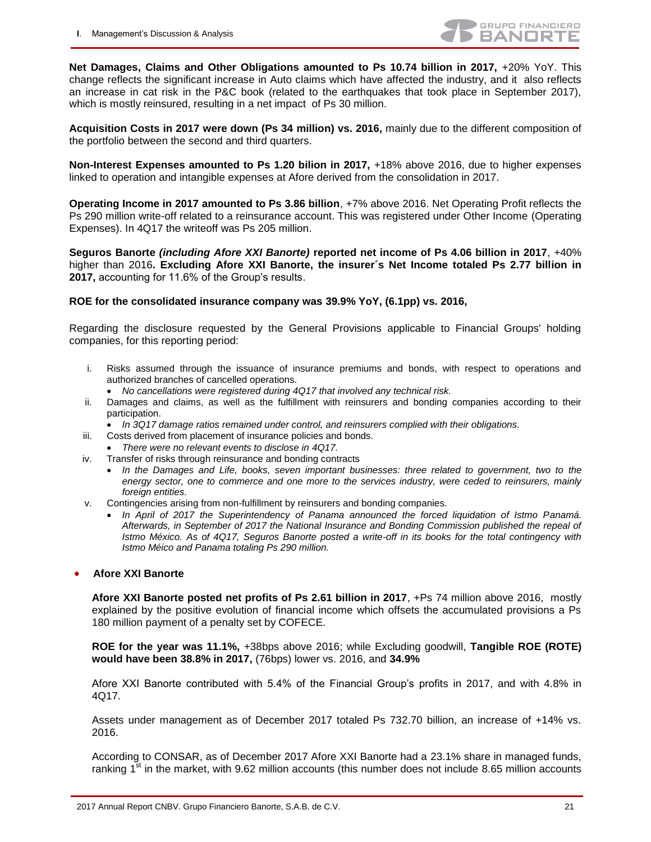**Net Damages, Claims and Other Obligations amounted to Ps 10.74 billion in 2017,** +20% YoY. This change reflects the significant increase in Auto claims which have affected the industry, and it also reflects an increase in cat risk in the P&C book (related to the earthquakes that took place in September 2017), which is mostly reinsured, resulting in a net impact of Ps 30 million.

**Acquisition Costs in 2017 were down (Ps 34 million) vs. 2016,** mainly due to the different composition of the portfolio between the second and third quarters.

**Non-Interest Expenses amounted to Ps 1.20 bilion in 2017, +18% above 2016, due to higher expenses** linked to operation and intangible expenses at Afore derived from the consolidation in 2017.

**Operating Income in 2017 amounted to Ps 3.86 billion**, +7% above 2016. Net Operating Profit reflects the Ps 290 million write-off related to a reinsurance account. This was registered under Other Income (Operating Expenses). In 4Q17 the writeoff was Ps 205 million.

**Seguros Banorte** *(including Afore XXI Banorte)* **reported net income of Ps 4.06 billion in 2017**, +40% higher than 2016**. Excluding Afore XXI Banorte, the insurer´s Net Income totaled Ps 2.77 billion in 2017,** accounting for 11.6% of the Group's results.

#### **ROE for the consolidated insurance company was 39.9% YoY, (6.1pp) vs. 2016,**

Regarding the disclosure requested by the General Provisions applicable to Financial Groups' holding companies, for this reporting period:

- i. Risks assumed through the issuance of insurance premiums and bonds, with respect to operations and authorized branches of cancelled operations.
	- *No cancellations were registered during 4Q17 that involved any technical risk.*
- ii. Damages and claims, as well as the fulfillment with reinsurers and bonding companies according to their participation.
	- *In 3Q17 damage ratios remained under control, and reinsurers complied with their obligations.*
- iii. Costs derived from placement of insurance policies and bonds.
- *There were no relevant events to disclose in 4Q17.*
- iv. Transfer of risks through reinsurance and bonding contracts
	- In the Damages and Life, books, seven important businesses: three related to government, two to the *energy sector, one to commerce and one more to the services industry, were ceded to reinsurers, mainly foreign entities.*
- v. Contingencies arising from non-fulfillment by reinsurers and bonding companies.
	- In April of 2017 the Superintendency of Panama announced the forced liquidation of Istmo Panamá. *Afterwards, in September of 2017 the National Insurance and Bonding Commission published the repeal of Istmo México. As of 4Q17, Seguros Banorte posted a write-off in its books for the total contingency with Istmo Méico and Panama totaling Ps 290 million.*

#### **Afore XXI Banorte**

**Afore XXI Banorte posted net profits of Ps 2.61 billion in 2017**, +Ps 74 million above 2016, mostly explained by the positive evolution of financial income which offsets the accumulated provisions a Ps 180 million payment of a penalty set by COFECE.

**ROE for the year was 11.1%,** +38bps above 2016; while Excluding goodwill, **Tangible ROE (ROTE) would have been 38.8% in 2017,** (76bps) lower vs. 2016, and **34.9%**

Afore XXI Banorte contributed with 5.4% of the Financial Group's profits in 2017, and with 4.8% in 4Q17.

Assets under management as of December 2017 totaled Ps 732.70 billion, an increase of +14% vs. 2016.

According to CONSAR, as of December 2017 Afore XXI Banorte had a 23.1% share in managed funds, ranking  $1<sup>st</sup>$  in the market, with 9.62 million accounts (this number does not include 8.65 million accounts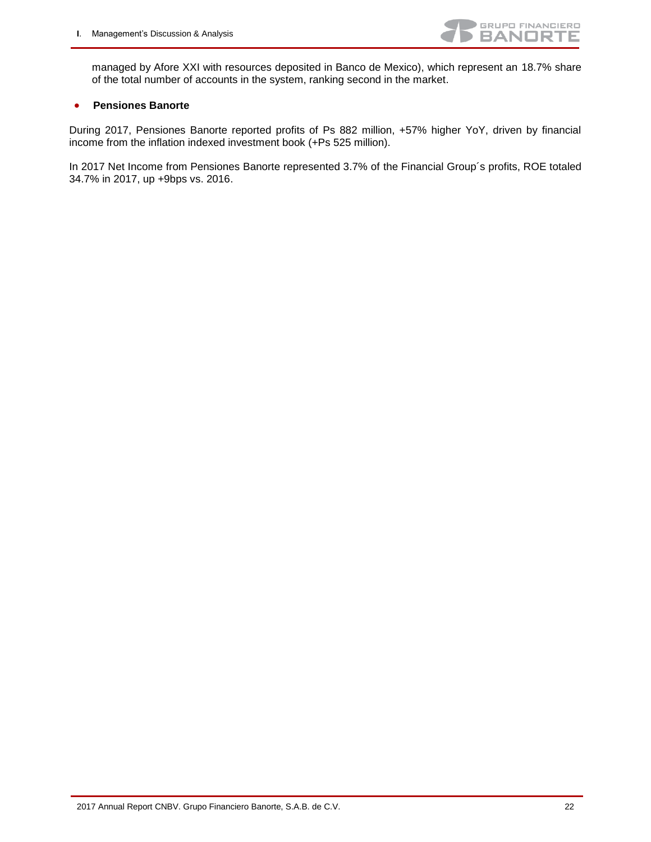

managed by Afore XXI with resources deposited in Banco de Mexico), which represent an 18.7% share of the total number of accounts in the system, ranking second in the market.

#### **Pensiones Banorte**

During 2017, Pensiones Banorte reported profits of Ps 882 million, +57% higher YoY, driven by financial income from the inflation indexed investment book (+Ps 525 million).

In 2017 Net Income from Pensiones Banorte represented 3.7% of the Financial Group´s profits, ROE totaled 34.7% in 2017, up +9bps vs. 2016.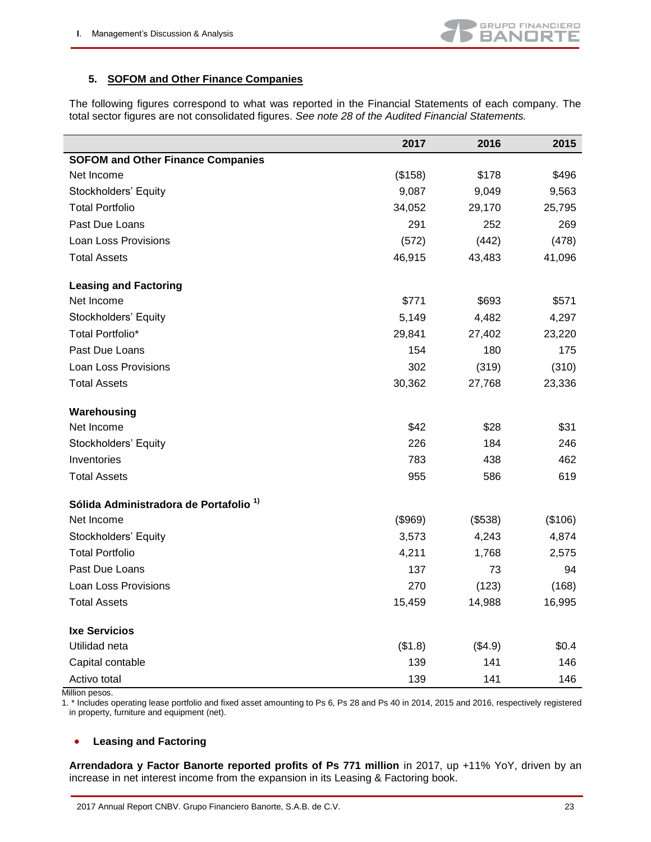## **5. SOFOM and Other Finance Companies**

The following figures correspond to what was reported in the Financial Statements of each company. The total sector figures are not consolidated figures. *See note 28 of the Audited Financial Statements.*

|                                                   | 2017    | 2016    | 2015    |
|---------------------------------------------------|---------|---------|---------|
| <b>SOFOM and Other Finance Companies</b>          |         |         |         |
| Net Income                                        | (\$158) | \$178   | \$496   |
| Stockholders' Equity                              | 9,087   | 9,049   | 9,563   |
| <b>Total Portfolio</b>                            | 34,052  | 29,170  | 25,795  |
| Past Due Loans                                    | 291     | 252     | 269     |
| Loan Loss Provisions                              | (572)   | (442)   | (478)   |
| <b>Total Assets</b>                               | 46,915  | 43,483  | 41,096  |
| <b>Leasing and Factoring</b>                      |         |         |         |
| Net Income                                        | \$771   | \$693   | \$571   |
| Stockholders' Equity                              | 5,149   | 4,482   | 4,297   |
| Total Portfolio*                                  | 29,841  | 27,402  | 23,220  |
| Past Due Loans                                    | 154     | 180     | 175     |
| Loan Loss Provisions                              | 302     | (319)   | (310)   |
| <b>Total Assets</b>                               | 30,362  | 27,768  | 23,336  |
| Warehousing                                       |         |         |         |
| Net Income                                        | \$42    | \$28    | \$31    |
| Stockholders' Equity                              | 226     | 184     | 246     |
| Inventories                                       | 783     | 438     | 462     |
| <b>Total Assets</b>                               | 955     | 586     | 619     |
| Sólida Administradora de Portafolio <sup>1)</sup> |         |         |         |
| Net Income                                        | (\$969) | (\$538) | (\$106) |
| Stockholders' Equity                              | 3,573   | 4,243   | 4,874   |
| <b>Total Portfolio</b>                            | 4,211   | 1,768   | 2,575   |
| Past Due Loans                                    | 137     | 73      | 94      |
| <b>Loan Loss Provisions</b>                       | 270     | (123)   | (168)   |
| <b>Total Assets</b>                               | 15,459  | 14,988  | 16,995  |
| <b>Ixe Servicios</b>                              |         |         |         |
| Utilidad neta                                     | (\$1.8) | (\$4.9) | \$0.4   |
| Capital contable                                  | 139     | 141     | 146     |
| Activo total                                      | 139     | 141     | 146     |

Million pesos.

1. \* Includes operating lease portfolio and fixed asset amounting to Ps 6, Ps 28 and Ps 40 in 2014, 2015 and 2016, respectively registered in property, furniture and equipment (net).

## **Leasing and Factoring**

**Arrendadora y Factor Banorte reported profits of Ps 771 million** in 2017, up +11% YoY, driven by an increase in net interest income from the expansion in its Leasing & Factoring book.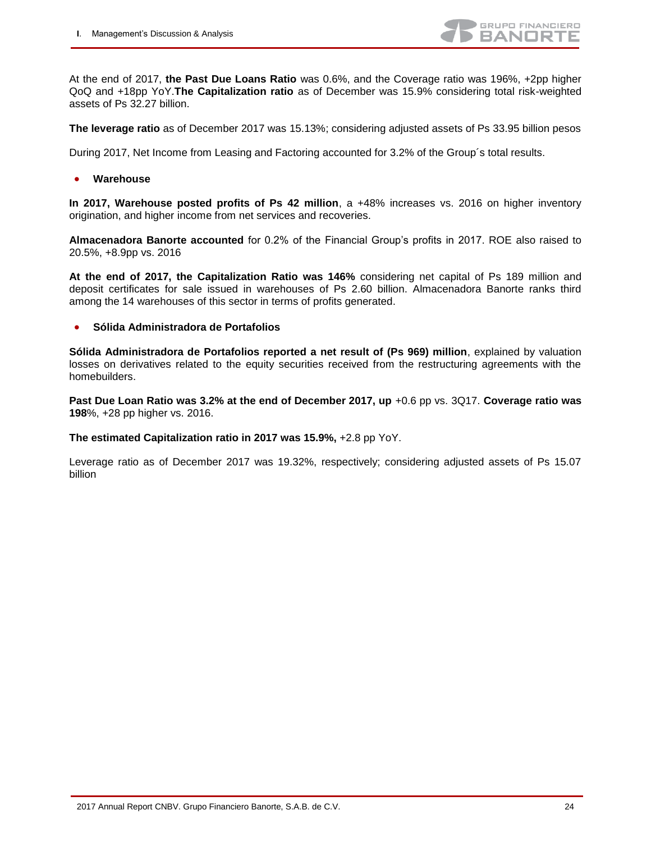

At the end of 2017, **the Past Due Loans Ratio** was 0.6%, and the Coverage ratio was 196%, +2pp higher QoQ and +18pp YoY.**The Capitalization ratio** as of December was 15.9% considering total risk-weighted assets of Ps 32.27 billion.

**The leverage ratio** as of December 2017 was 15.13%; considering adjusted assets of Ps 33.95 billion pesos

During 2017, Net Income from Leasing and Factoring accounted for 3.2% of the Group´s total results.

**Warehouse**

**In 2017, Warehouse posted profits of Ps 42 million**, a +48% increases vs. 2016 on higher inventory origination, and higher income from net services and recoveries.

**Almacenadora Banorte accounted** for 0.2% of the Financial Group's profits in 2017. ROE also raised to 20.5%, +8.9pp vs. 2016

**At the end of 2017, the Capitalization Ratio was 146%** considering net capital of Ps 189 million and deposit certificates for sale issued in warehouses of Ps 2.60 billion. Almacenadora Banorte ranks third among the 14 warehouses of this sector in terms of profits generated.

#### **Sólida Administradora de Portafolios**

**Sólida Administradora de Portafolios reported a net result of (Ps 969) million**, explained by valuation losses on derivatives related to the equity securities received from the restructuring agreements with the homebuilders.

**Past Due Loan Ratio was 3.2% at the end of December 2017, up +0.6 pp vs. 3Q17. Coverage ratio was 198**%, +28 pp higher vs. 2016.

**The estimated Capitalization ratio in 2017 was 15.9%,** +2.8 pp YoY.

Leverage ratio as of December 2017 was 19.32%, respectively; considering adjusted assets of Ps 15.07 billion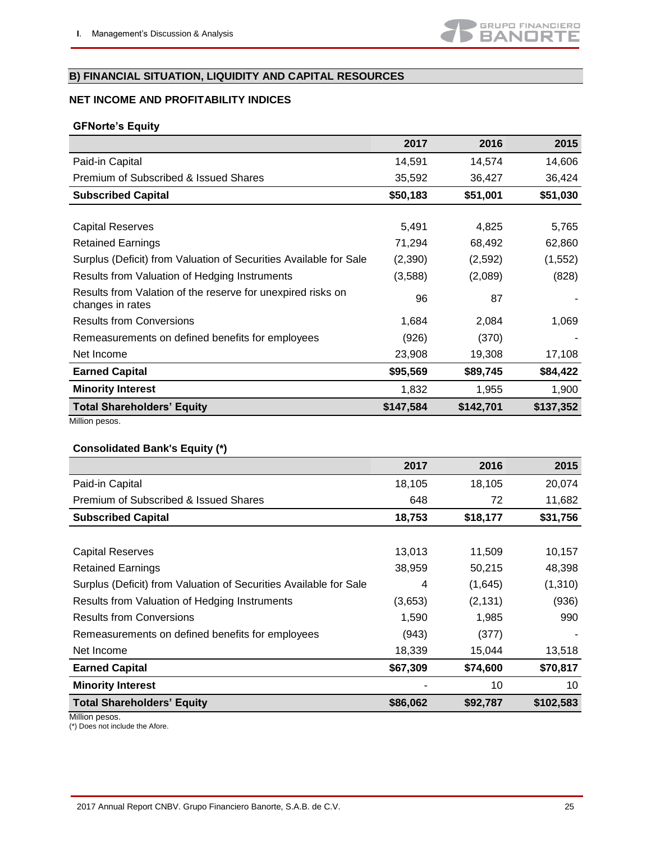## <span id="page-24-0"></span>**B) FINANCIAL SITUATION, LIQUIDITY AND CAPITAL RESOURCES**

## **NET INCOME AND PROFITABILITY INDICES**

### **GFNorte's Equity**

|                                                                                 | 2017      | 2016      | 2015      |
|---------------------------------------------------------------------------------|-----------|-----------|-----------|
| Paid-in Capital                                                                 | 14,591    | 14,574    | 14,606    |
| Premium of Subscribed & Issued Shares                                           | 35,592    | 36,427    | 36,424    |
| <b>Subscribed Capital</b>                                                       | \$50,183  | \$51,001  | \$51,030  |
|                                                                                 |           |           |           |
| Capital Reserves                                                                | 5,491     | 4,825     | 5,765     |
| <b>Retained Earnings</b>                                                        | 71,294    | 68,492    | 62,860    |
| Surplus (Deficit) from Valuation of Securities Available for Sale               | (2,390)   | (2,592)   | (1, 552)  |
| Results from Valuation of Hedging Instruments                                   | (3,588)   | (2,089)   | (828)     |
| Results from Valation of the reserve for unexpired risks on<br>changes in rates | 96        | 87        |           |
| <b>Results from Conversions</b>                                                 | 1,684     | 2,084     | 1,069     |
| Remeasurements on defined benefits for employees                                | (926)     | (370)     |           |
| Net Income                                                                      | 23,908    | 19,308    | 17,108    |
| <b>Earned Capital</b>                                                           | \$95,569  | \$89,745  | \$84,422  |
| <b>Minority Interest</b>                                                        | 1,832     | 1,955     | 1,900     |
| <b>Total Shareholders' Equity</b>                                               | \$147,584 | \$142,701 | \$137,352 |
| Million pesos.                                                                  |           |           |           |

## **Consolidated Bank's Equity (\*)**

|                                                                   | 2017     | 2016     | 2015      |
|-------------------------------------------------------------------|----------|----------|-----------|
| Paid-in Capital                                                   | 18,105   | 18,105   | 20,074    |
| Premium of Subscribed & Issued Shares                             | 648      | 72       | 11,682    |
| <b>Subscribed Capital</b>                                         | 18,753   | \$18,177 | \$31,756  |
|                                                                   |          |          |           |
| <b>Capital Reserves</b>                                           | 13,013   | 11,509   | 10,157    |
| <b>Retained Earnings</b>                                          | 38,959   | 50,215   | 48,398    |
| Surplus (Deficit) from Valuation of Securities Available for Sale | 4        | (1,645)  | (1,310)   |
| Results from Valuation of Hedging Instruments                     | (3,653)  | (2, 131) | (936)     |
| <b>Results from Conversions</b>                                   | 1,590    | 1,985    | 990       |
| Remeasurements on defined benefits for employees                  | (943)    | (377)    |           |
| Net Income                                                        | 18,339   | 15,044   | 13,518    |
| <b>Earned Capital</b>                                             | \$67,309 | \$74,600 | \$70,817  |
| <b>Minority Interest</b>                                          |          | 10       | 10        |
| <b>Total Shareholders' Equity</b>                                 | \$86,062 | \$92,787 | \$102,583 |

Million pesos.

(\*) Does not include the Afore.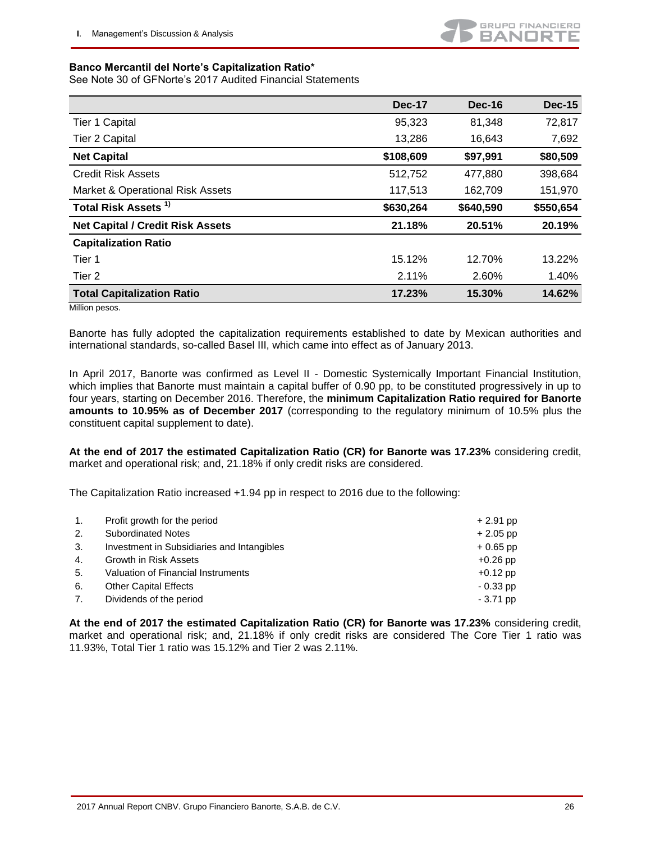#### **Banco Mercantil del Norte's Capitalization Ratio\***

See Note 30 of GFNorte's 2017 Audited Financial Statements

|                                         | <b>Dec-17</b> | Dec-16    | <b>Dec-15</b> |
|-----------------------------------------|---------------|-----------|---------------|
| <b>Tier 1 Capital</b>                   | 95,323        | 81,348    | 72,817        |
| Tier 2 Capital                          | 13,286        | 16,643    | 7,692         |
| <b>Net Capital</b>                      | \$108,609     | \$97,991  | \$80,509      |
| <b>Credit Risk Assets</b>               | 512,752       | 477,880   | 398,684       |
| Market & Operational Risk Assets        | 117,513       | 162,709   | 151,970       |
| Total Risk Assets <sup>1)</sup>         | \$630,264     | \$640,590 | \$550,654     |
| <b>Net Capital / Credit Risk Assets</b> | 21.18%        | 20.51%    | 20.19%        |
| <b>Capitalization Ratio</b>             |               |           |               |
| Tier 1                                  | 15.12%        | 12.70%    | 13.22%        |
| Tier 2                                  | 2.11%         | 2.60%     | 1.40%         |
| <b>Total Capitalization Ratio</b>       | 17.23%        | 15.30%    | 14.62%        |

Million pesos.

Banorte has fully adopted the capitalization requirements established to date by Mexican authorities and international standards, so-called Basel III, which came into effect as of January 2013.

In April 2017, Banorte was confirmed as Level II - Domestic Systemically Important Financial Institution, which implies that Banorte must maintain a capital buffer of 0.90 pp, to be constituted progressively in up to four years, starting on December 2016. Therefore, the **minimum Capitalization Ratio required for Banorte amounts to 10.95% as of December 2017** (corresponding to the regulatory minimum of 10.5% plus the constituent capital supplement to date).

**At the end of 2017 the estimated Capitalization Ratio (CR) for Banorte was 17.23%** considering credit, market and operational risk; and, 21.18% if only credit risks are considered.

The Capitalization Ratio increased +1.94 pp in respect to 2016 due to the following:

| 1.             | Profit growth for the period               | $+2.91$ pp |
|----------------|--------------------------------------------|------------|
| 2.             | <b>Subordinated Notes</b>                  | $+2.05$ pp |
| 3.             | Investment in Subsidiaries and Intangibles | $+0.65$ pp |
| $\mathbf{4}$ . | Growth in Risk Assets                      | $+0.26$ pp |
| 5.             | Valuation of Financial Instruments         | $+0.12$ pp |
| 6.             | <b>Other Capital Effects</b>               | $-0.33$ pp |
| 7.             | Dividends of the period                    | $-3.71$ pp |

**At the end of 2017 the estimated Capitalization Ratio (CR) for Banorte was 17.23%** considering credit, market and operational risk; and, 21.18% if only credit risks are considered The Core Tier 1 ratio was 11.93%, Total Tier 1 ratio was 15.12% and Tier 2 was 2.11%.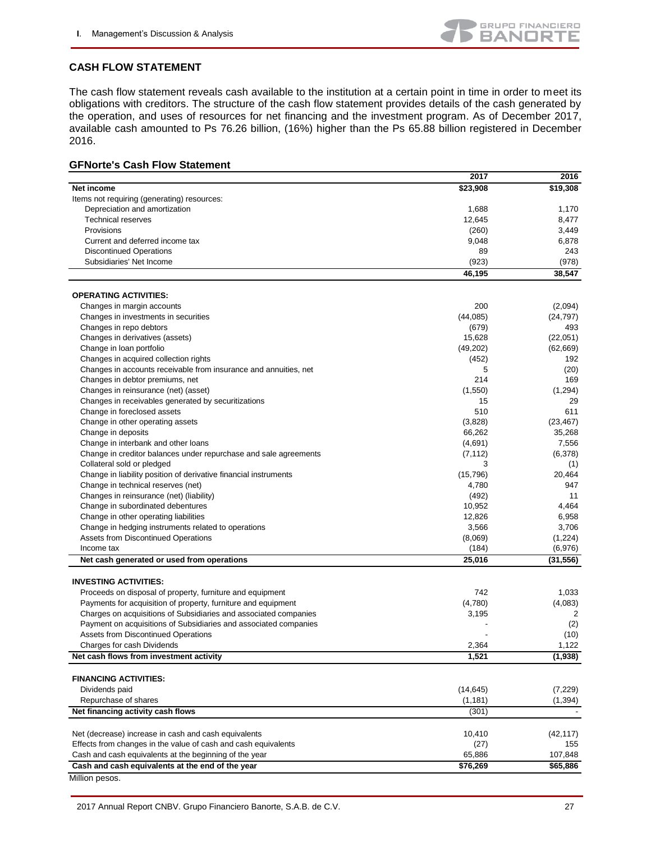

#### **CASH FLOW STATEMENT**

The cash flow statement reveals cash available to the institution at a certain point in time in order to meet its obligations with creditors. The structure of the cash flow statement provides details of the cash generated by the operation, and uses of resources for net financing and the investment program. As of December 2017, available cash amounted to Ps 76.26 billion, (16%) higher than the Ps 65.88 billion registered in December 2016.

#### **GFNorte's Cash Flow Statement**

|                                                                  | 2017            | 2016                 |
|------------------------------------------------------------------|-----------------|----------------------|
| Net income                                                       | \$23,908        | \$19,308             |
| Items not requiring (generating) resources:                      |                 |                      |
| Depreciation and amortization                                    | 1,688           | 1,170                |
| <b>Technical reserves</b>                                        | 12,645          | 8,477                |
| Provisions                                                       | (260)           | 3,449                |
| Current and deferred income tax                                  | 9,048           | 6,878                |
| <b>Discontinued Operations</b>                                   | 89              | 243                  |
| Subsidiaries' Net Income                                         | (923)           | (978)                |
|                                                                  | 46,195          | 38,547               |
|                                                                  |                 |                      |
| <b>OPERATING ACTIVITIES:</b>                                     |                 |                      |
| Changes in margin accounts                                       | 200             | (2,094)              |
| Changes in investments in securities                             | (44,085)        | (24, 797)            |
| Changes in repo debtors                                          | (679)           | 493                  |
| Changes in derivatives (assets)                                  | 15,628          | (22,051)             |
| Change in loan portfolio                                         | (49, 202)       | (62, 669)            |
| Changes in acquired collection rights                            | (452)           | 192                  |
| Changes in accounts receivable from insurance and annuities, net | 5               | (20)                 |
| Changes in debtor premiums, net                                  | 214             | 169                  |
| Changes in reinsurance (net) (asset)                             | (1,550)         | (1, 294)             |
| Changes in receivables generated by securitizations              | 15              | 29                   |
| Change in foreclosed assets                                      | 510             | 611                  |
| Change in other operating assets                                 | (3,828)         | (23, 467)            |
| Change in deposits                                               | 66,262          | 35,268               |
| Change in interbank and other loans                              | (4,691)         | 7,556                |
| Change in creditor balances under repurchase and sale agreements | (7, 112)        | (6,378)              |
| Collateral sold or pledged                                       | 3               | (1)                  |
| Change in liability position of derivative financial instruments | (15, 796)       | 20,464               |
| Change in technical reserves (net)                               | 4,780           | 947                  |
| Changes in reinsurance (net) (liability)                         | (492)           | 11                   |
| Change in subordinated debentures                                | 10,952          | 4,464                |
|                                                                  | 12,826          | 6,958                |
| Change in other operating liabilities                            | 3,566           | 3,706                |
| Change in hedging instruments related to operations              |                 |                      |
| Assets from Discontinued Operations                              | (8,069)         | (1,224)              |
| Income tax                                                       | (184)<br>25,016 | (6,976)<br>(31, 556) |
| Net cash generated or used from operations                       |                 |                      |
| <b>INVESTING ACTIVITIES:</b>                                     |                 |                      |
| Proceeds on disposal of property, furniture and equipment        | 742             | 1,033                |
| Payments for acquisition of property, furniture and equipment    | (4,780)         | (4,083)              |
| Charges on acquisitions of Subsidiaries and associated companies | 3,195           | 2                    |
| Payment on acquisitions of Subsidiaries and associated companies |                 | (2)                  |
| Assets from Discontinued Operations                              |                 | (10)                 |
| Charges for cash Dividends                                       | 2,364           | 1,122                |
| Net cash flows from investment activity                          | 1,521           | (1,938)              |
|                                                                  |                 |                      |
| <b>FINANCING ACTIVITIES:</b>                                     |                 |                      |
| Dividends paid                                                   | (14, 645)       | (7,229)              |
| Repurchase of shares                                             | (1, 181)        | (1, 394)             |
| Net financing activity cash flows                                | (301)           |                      |
|                                                                  |                 |                      |
| Net (decrease) increase in cash and cash equivalents             | 10,410          | (42, 117)            |
| Effects from changes in the value of cash and cash equivalents   | (27)            | 155                  |
| Cash and cash equivalents at the beginning of the year           | 65,886          | 107,848              |
| Cash and cash equivalents at the end of the year                 | \$76,269        | \$65,886             |

Million pesos.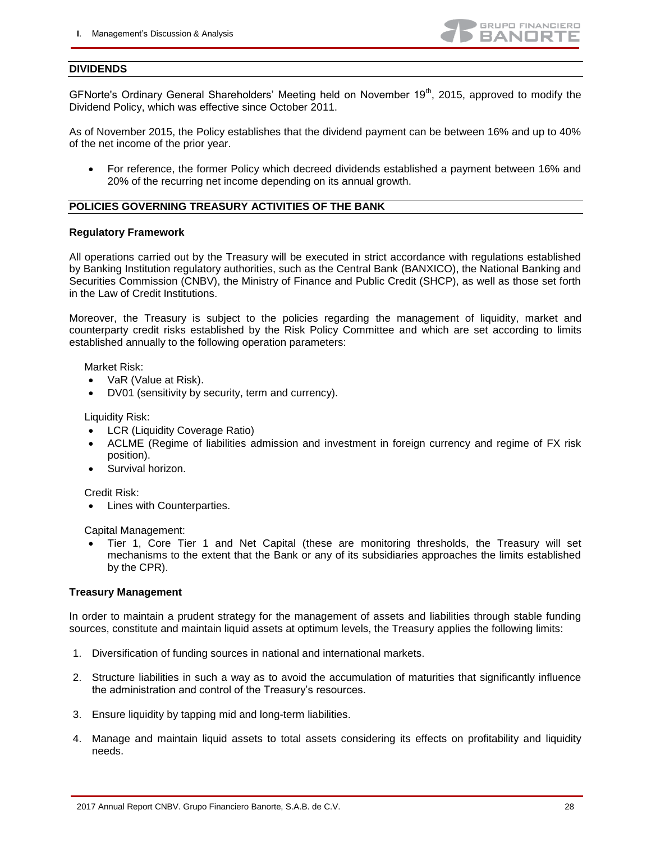

#### **DIVIDENDS**

GFNorte's Ordinary General Shareholders' Meeting held on November 19<sup>th</sup>, 2015, approved to modify the Dividend Policy, which was effective since October 2011.

As of November 2015, the Policy establishes that the dividend payment can be between 16% and up to 40% of the net income of the prior year.

 For reference, the former Policy which decreed dividends established a payment between 16% and 20% of the recurring net income depending on its annual growth.

#### **POLICIES GOVERNING TREASURY ACTIVITIES OF THE BANK**

#### **Regulatory Framework**

All operations carried out by the Treasury will be executed in strict accordance with regulations established by Banking Institution regulatory authorities, such as the Central Bank (BANXICO), the National Banking and Securities Commission (CNBV), the Ministry of Finance and Public Credit (SHCP), as well as those set forth in the Law of Credit Institutions.

Moreover, the Treasury is subject to the policies regarding the management of liquidity, market and counterparty credit risks established by the Risk Policy Committee and which are set according to limits established annually to the following operation parameters:

#### Market Risk:

- VaR (Value at Risk).
- DV01 (sensitivity by security, term and currency).

Liquidity Risk:

- LCR (Liquidity Coverage Ratio)
- ACLME (Regime of liabilities admission and investment in foreign currency and regime of FX risk position).
- Survival horizon.

Credit Risk:

• Lines with Counterparties.

Capital Management:

 Tier 1, Core Tier 1 and Net Capital (these are monitoring thresholds, the Treasury will set mechanisms to the extent that the Bank or any of its subsidiaries approaches the limits established by the CPR).

#### **Treasury Management**

In order to maintain a prudent strategy for the management of assets and liabilities through stable funding sources, constitute and maintain liquid assets at optimum levels, the Treasury applies the following limits:

- 1. Diversification of funding sources in national and international markets.
- 2. Structure liabilities in such a way as to avoid the accumulation of maturities that significantly influence the administration and control of the Treasury's resources.
- 3. Ensure liquidity by tapping mid and long-term liabilities.
- 4. Manage and maintain liquid assets to total assets considering its effects on profitability and liquidity needs.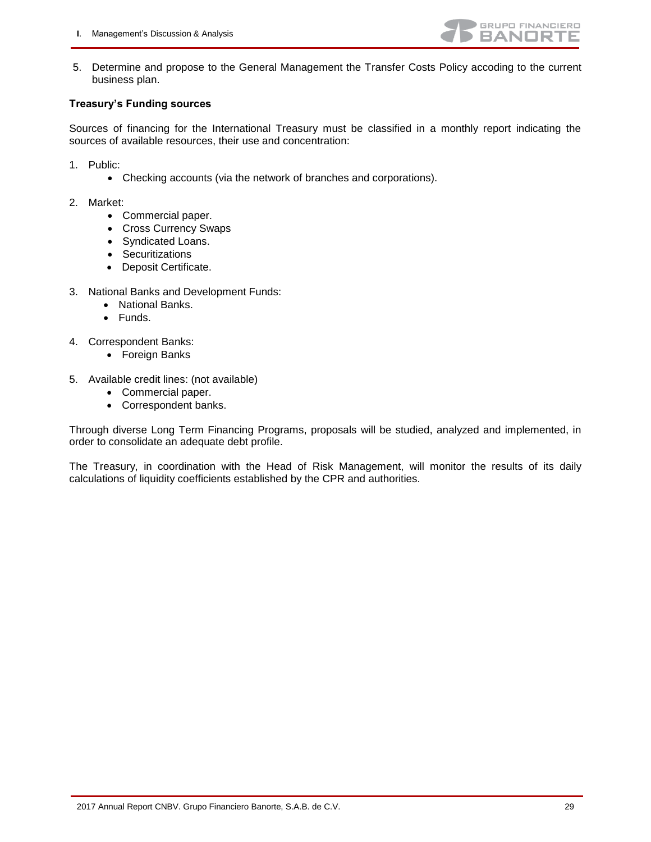

5. Determine and propose to the General Management the Transfer Costs Policy accoding to the current business plan.

#### **Treasury's Funding sources**

Sources of financing for the International Treasury must be classified in a monthly report indicating the sources of available resources, their use and concentration:

- 1. Public:
	- Checking accounts (via the network of branches and corporations).

#### 2. Market:

- Commercial paper.
- Cross Currency Swaps
- Syndicated Loans.
- Securitizations
- Deposit Certificate.
- 3. National Banks and Development Funds:
	- National Banks.
	- Funds.
- 4. Correspondent Banks:
	- Foreign Banks
- 5. Available credit lines: (not available)
	- Commercial paper.
	- Correspondent banks.

Through diverse Long Term Financing Programs, proposals will be studied, analyzed and implemented, in order to consolidate an adequate debt profile.

The Treasury, in coordination with the Head of Risk Management, will monitor the results of its daily calculations of liquidity coefficients established by the CPR and authorities.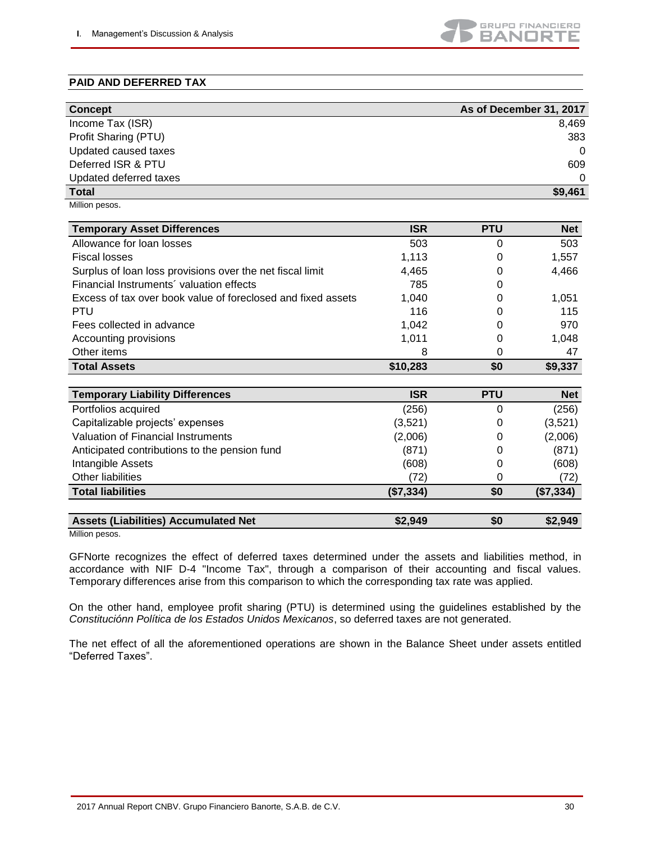

## **PAID AND DEFERRED TAX**

|                                                              |            |            | As of December 31, 2017 |
|--------------------------------------------------------------|------------|------------|-------------------------|
| <b>Concept</b><br>Income Tax (ISR)                           |            |            | 8,469                   |
|                                                              |            |            | 383                     |
| Profit Sharing (PTU)                                         |            |            |                         |
| Updated caused taxes<br>Deferred ISR & PTU                   |            |            | $\Omega$                |
|                                                              |            |            | 609                     |
| Updated deferred taxes                                       |            |            | 0                       |
| <b>Total</b>                                                 |            |            | \$9,461                 |
| Million pesos.                                               |            |            |                         |
| <b>Temporary Asset Differences</b>                           | <b>ISR</b> | <b>PTU</b> | <b>Net</b>              |
| Allowance for loan losses                                    | 503        | 0          | 503                     |
| <b>Fiscal losses</b>                                         | 1,113      | 0          | 1,557                   |
| Surplus of loan loss provisions over the net fiscal limit    | 4,465      | 0          | 4,466                   |
| Financial Instruments' valuation effects                     | 785        | 0          |                         |
| Excess of tax over book value of foreclosed and fixed assets | 1,040      | 0          | 1,051                   |
| PTU                                                          | 116        | 0          | 115                     |
| Fees collected in advance                                    | 1,042      | 0          | 970                     |
| Accounting provisions                                        | 1,011      | 0          | 1,048                   |
| Other items                                                  | 8          | 0          | 47                      |
| <b>Total Assets</b>                                          | \$10,283   | \$0        | \$9,337                 |
|                                                              |            |            |                         |
| <b>Temporary Liability Differences</b>                       | <b>ISR</b> | <b>PTU</b> | <b>Net</b>              |
| Portfolios acquired                                          | (256)      | 0          | (256)                   |
| Capitalizable projects' expenses                             | (3,521)    | 0          | (3,521)                 |
| <b>Valuation of Financial Instruments</b>                    | (2,006)    | 0          | (2,006)                 |
| Anticipated contributions to the pension fund                | (871)      | 0          | (871)                   |
| Intangible Assets                                            | (608)      | 0          | (608)                   |
| <b>Other liabilities</b>                                     | (72)       | 0          | (72)                    |
| <b>Total liabilities</b>                                     | (\$7,334)  | \$0        | (\$7,334)               |
|                                                              |            |            |                         |
| <b>Assets (Liabilities) Accumulated Net</b>                  | \$2,949    | \$0        | \$2,949                 |

Million pesos.

GFNorte recognizes the effect of deferred taxes determined under the assets and liabilities method, in accordance with NIF D-4 "Income Tax", through a comparison of their accounting and fiscal values. Temporary differences arise from this comparison to which the corresponding tax rate was applied.

On the other hand, employee profit sharing (PTU) is determined using the guidelines established by the *Constituciónn Política de los Estados Unidos Mexicanos*, so deferred taxes are not generated.

The net effect of all the aforementioned operations are shown in the Balance Sheet under assets entitled "Deferred Taxes".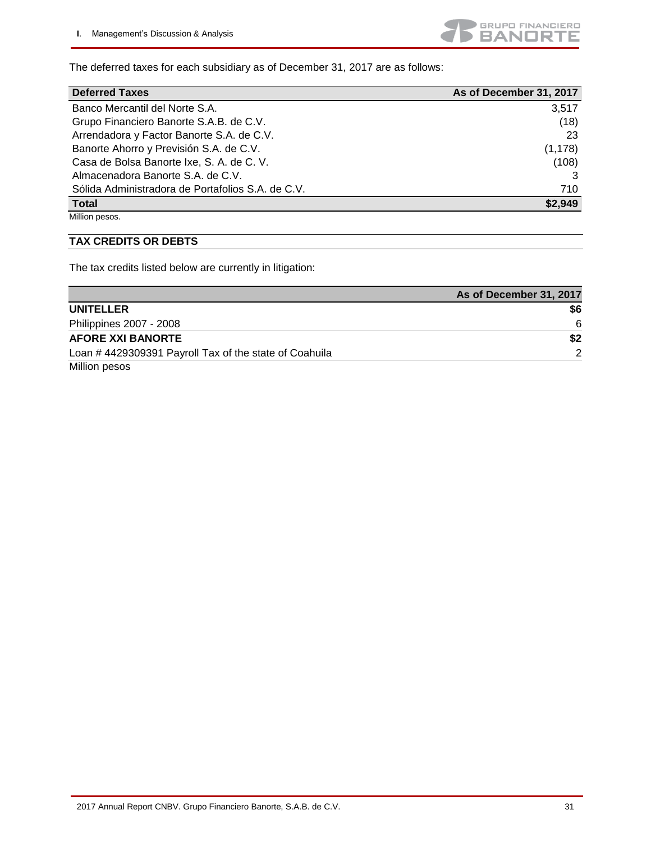

The deferred taxes for each subsidiary as of December 31, 2017 are as follows:

| <b>Deferred Taxes</b>                             | As of December 31, 2017 |
|---------------------------------------------------|-------------------------|
| Banco Mercantil del Norte S.A.                    | 3,517                   |
| Grupo Financiero Banorte S.A.B. de C.V.           | (18)                    |
| Arrendadora y Factor Banorte S.A. de C.V.         | 23                      |
| Banorte Ahorro y Previsión S.A. de C.V.           | (1, 178)                |
| Casa de Bolsa Banorte Ixe, S. A. de C. V.         | (108)                   |
| Almacenadora Banorte S.A. de C.V.                 |                         |
| Sólida Administradora de Portafolios S.A. de C.V. | 710                     |
| <b>Total</b>                                      | \$2,949                 |

Million pesos.

#### **TAX CREDITS OR DEBTS**

The tax credits listed below are currently in litigation:

|                                                       | As of December 31, 2017 |
|-------------------------------------------------------|-------------------------|
| <b>UNITELLER</b>                                      | \$6                     |
| Philippines 2007 - 2008                               | -6                      |
| <b>AFORE XXI BANORTE</b>                              | \$2                     |
| Loan #4429309391 Payroll Tax of the state of Coahuila | $\mathcal{P}$           |
| Million pesos                                         |                         |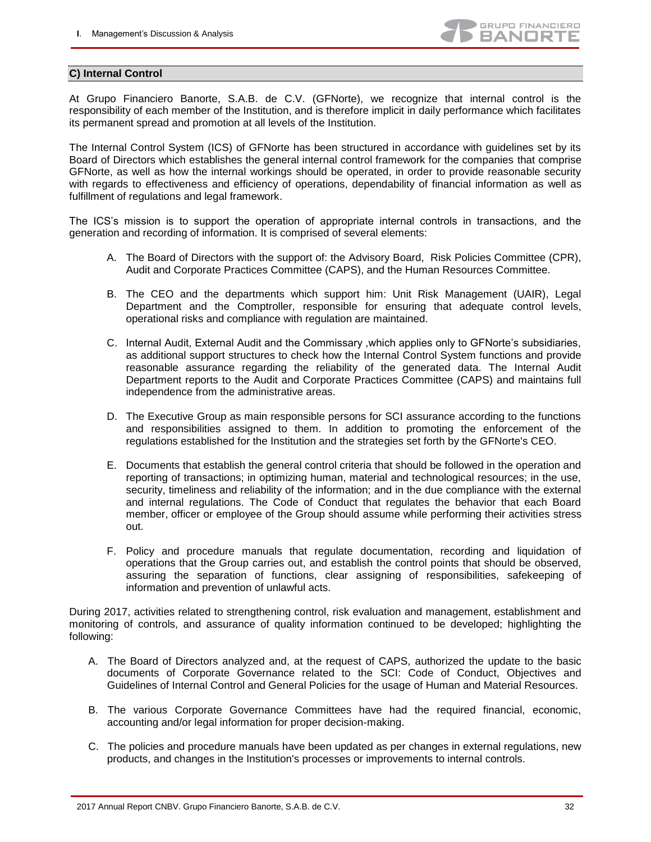

#### <span id="page-31-0"></span>**C) Internal Control**

At Grupo Financiero Banorte, S.A.B. de C.V. (GFNorte), we recognize that internal control is the responsibility of each member of the Institution, and is therefore implicit in daily performance which facilitates its permanent spread and promotion at all levels of the Institution.

The Internal Control System (ICS) of GFNorte has been structured in accordance with guidelines set by its Board of Directors which establishes the general internal control framework for the companies that comprise GFNorte, as well as how the internal workings should be operated, in order to provide reasonable security with regards to effectiveness and efficiency of operations, dependability of financial information as well as fulfillment of regulations and legal framework.

The ICS's mission is to support the operation of appropriate internal controls in transactions, and the generation and recording of information. It is comprised of several elements:

- A. The Board of Directors with the support of: the Advisory Board, Risk Policies Committee (CPR), Audit and Corporate Practices Committee (CAPS), and the Human Resources Committee.
- B. The CEO and the departments which support him: Unit Risk Management (UAIR), Legal Department and the Comptroller, responsible for ensuring that adequate control levels, operational risks and compliance with regulation are maintained.
- C. Internal Audit, External Audit and the Commissary ,which applies only to GFNorte's subsidiaries, as additional support structures to check how the Internal Control System functions and provide reasonable assurance regarding the reliability of the generated data. The Internal Audit Department reports to the Audit and Corporate Practices Committee (CAPS) and maintains full independence from the administrative areas.
- D. The Executive Group as main responsible persons for SCI assurance according to the functions and responsibilities assigned to them. In addition to promoting the enforcement of the regulations established for the Institution and the strategies set forth by the GFNorte's CEO.
- E. Documents that establish the general control criteria that should be followed in the operation and reporting of transactions; in optimizing human, material and technological resources; in the use, security, timeliness and reliability of the information; and in the due compliance with the external and internal regulations. The Code of Conduct that regulates the behavior that each Board member, officer or employee of the Group should assume while performing their activities stress out.
- F. Policy and procedure manuals that regulate documentation, recording and liquidation of operations that the Group carries out, and establish the control points that should be observed, assuring the separation of functions, clear assigning of responsibilities, safekeeping of information and prevention of unlawful acts.

During 2017, activities related to strengthening control, risk evaluation and management, establishment and monitoring of controls, and assurance of quality information continued to be developed; highlighting the following:

- A. The Board of Directors analyzed and, at the request of CAPS, authorized the update to the basic documents of Corporate Governance related to the SCI: Code of Conduct, Objectives and Guidelines of Internal Control and General Policies for the usage of Human and Material Resources.
- B. The various Corporate Governance Committees have had the required financial, economic, accounting and/or legal information for proper decision-making.
- C. The policies and procedure manuals have been updated as per changes in external regulations, new products, and changes in the Institution's processes or improvements to internal controls.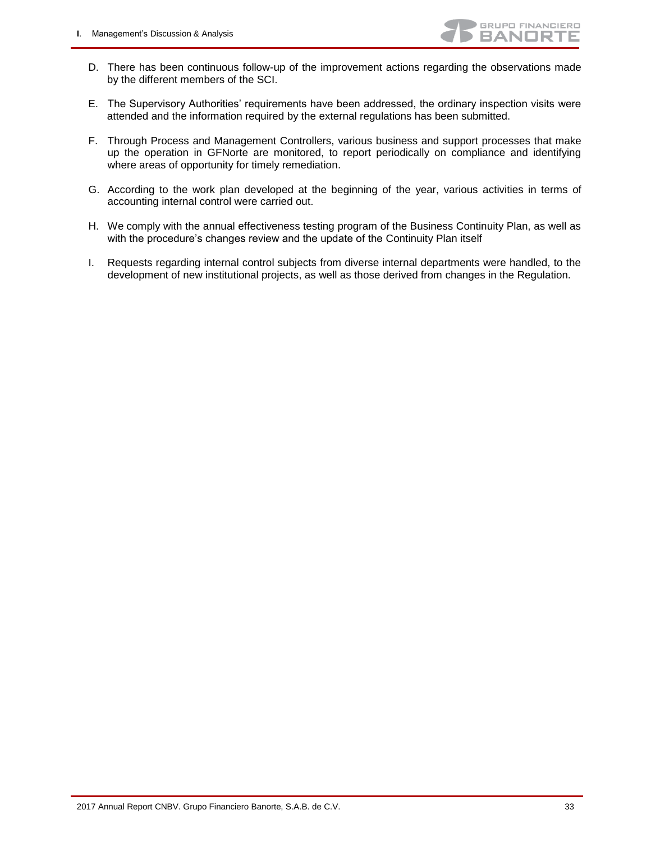- D. There has been continuous follow-up of the improvement actions regarding the observations made by the different members of the SCI.
- E. The Supervisory Authorities' requirements have been addressed, the ordinary inspection visits were attended and the information required by the external regulations has been submitted.
- F. Through Process and Management Controllers, various business and support processes that make up the operation in GFNorte are monitored, to report periodically on compliance and identifying where areas of opportunity for timely remediation.
- G. According to the work plan developed at the beginning of the year, various activities in terms of accounting internal control were carried out.
- H. We comply with the annual effectiveness testing program of the Business Continuity Plan, as well as with the procedure's changes review and the update of the Continuity Plan itself
- I. Requests regarding internal control subjects from diverse internal departments were handled, to the development of new institutional projects, as well as those derived from changes in the Regulation.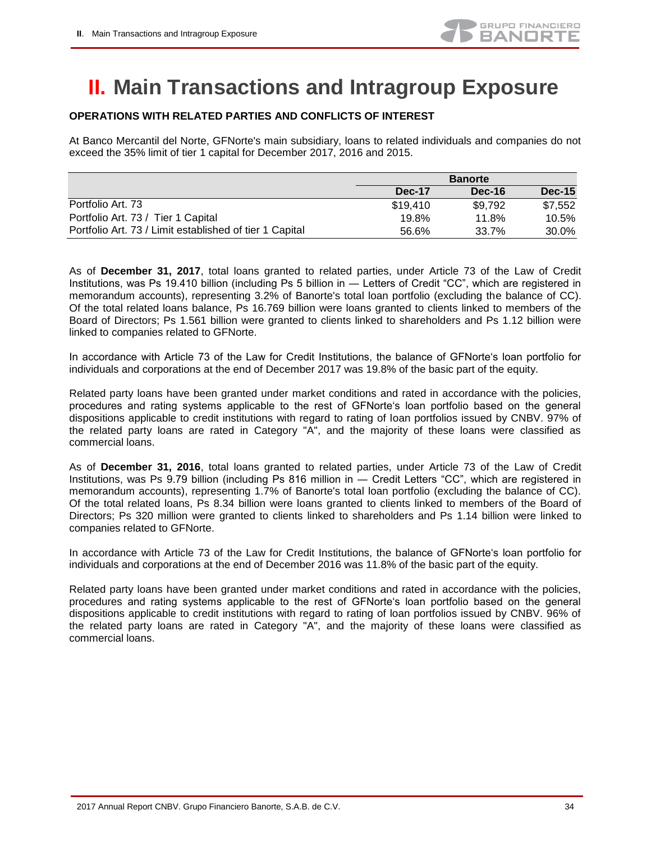

## <span id="page-33-0"></span>**II. Main Transactions and Intragroup Exposure**

### **OPERATIONS WITH RELATED PARTIES AND CONFLICTS OF INTEREST**

At Banco Mercantil del Norte, GFNorte's main subsidiary, loans to related individuals and companies do not exceed the 35% limit of tier 1 capital for December 2017, 2016 and 2015.

|                                                         |          | <b>Banorte</b> |               |
|---------------------------------------------------------|----------|----------------|---------------|
|                                                         | Dec-17   | Dec-16         | <b>Dec-15</b> |
| Portfolio Art. 73                                       | \$19,410 | \$9.792        | \$7,552       |
| Portfolio Art. 73 / Tier 1 Capital                      | 19.8%    | 11.8%          | 10.5%         |
| Portfolio Art. 73 / Limit established of tier 1 Capital | 56.6%    | 33.7%          | 30.0%         |

As of **December 31, 2017**, total loans granted to related parties, under Article 73 of the Law of Credit Institutions, was Ps 19.410 billion (including Ps 5 billion in ― Letters of Credit "CC", which are registered in memorandum accounts), representing 3.2% of Banorte's total loan portfolio (excluding the balance of CC). Of the total related loans balance, Ps 16.769 billion were loans granted to clients linked to members of the Board of Directors; Ps 1.561 billion were granted to clients linked to shareholders and Ps 1.12 billion were linked to companies related to GFNorte.

In accordance with Article 73 of the Law for Credit Institutions, the balance of GFNorte's loan portfolio for individuals and corporations at the end of December 2017 was 19.8% of the basic part of the equity.

Related party loans have been granted under market conditions and rated in accordance with the policies, procedures and rating systems applicable to the rest of GFNorte's loan portfolio based on the general dispositions applicable to credit institutions with regard to rating of loan portfolios issued by CNBV. 97% of the related party loans are rated in Category "A", and the majority of these loans were classified as commercial loans.

As of **December 31, 2016**, total loans granted to related parties, under Article 73 of the Law of Credit Institutions, was Ps 9.79 billion (including Ps 816 million in ― Credit Letters "CC", which are registered in memorandum accounts), representing 1.7% of Banorte's total loan portfolio (excluding the balance of CC). Of the total related loans, Ps 8.34 billion were loans granted to clients linked to members of the Board of Directors; Ps 320 million were granted to clients linked to shareholders and Ps 1.14 billion were linked to companies related to GFNorte.

In accordance with Article 73 of the Law for Credit Institutions, the balance of GFNorte's loan portfolio for individuals and corporations at the end of December 2016 was 11.8% of the basic part of the equity.

Related party loans have been granted under market conditions and rated in accordance with the policies, procedures and rating systems applicable to the rest of GFNorte's loan portfolio based on the general dispositions applicable to credit institutions with regard to rating of loan portfolios issued by CNBV. 96% of the related party loans are rated in Category "A", and the majority of these loans were classified as commercial loans.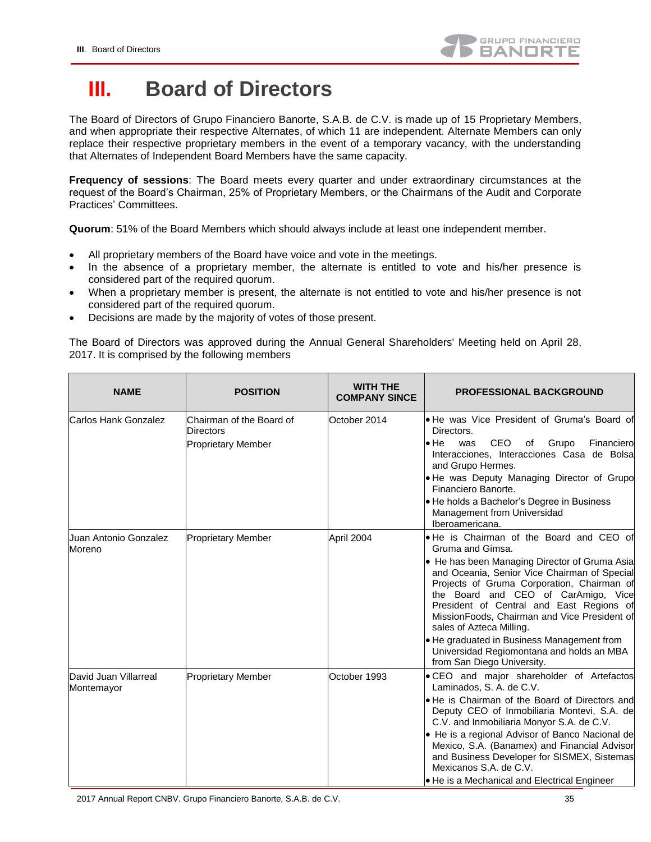## <span id="page-34-0"></span>**III. Board of Directors**

The Board of Directors of Grupo Financiero Banorte, S.A.B. de C.V. is made up of 15 Proprietary Members, and when appropriate their respective Alternates, of which 11 are independent. Alternate Members can only replace their respective proprietary members in the event of a temporary vacancy, with the understanding that Alternates of Independent Board Members have the same capacity.

**Frequency of sessions**: The Board meets every quarter and under extraordinary circumstances at the request of the Board's Chairman, 25% of Proprietary Members, or the Chairmans of the Audit and Corporate Practices' Committees.

**Quorum**: 51% of the Board Members which should always include at least one independent member.

- All proprietary members of the Board have voice and vote in the meetings.
- In the absence of a proprietary member, the alternate is entitled to vote and his/her presence is considered part of the required quorum.
- When a proprietary member is present, the alternate is not entitled to vote and his/her presence is not considered part of the required quorum.
- Decisions are made by the majority of votes of those present.

The Board of Directors was approved during the Annual General Shareholders' Meeting held on April 28, 2017. It is comprised by the following members

| <b>NAME</b>                         | <b>POSITION</b>                                                           | <b>WITH THE</b><br><b>COMPANY SINCE</b> | <b>PROFESSIONAL BACKGROUND</b>                                                                                                                                                                                                                                                                                                                                                                                                                                                                      |
|-------------------------------------|---------------------------------------------------------------------------|-----------------------------------------|-----------------------------------------------------------------------------------------------------------------------------------------------------------------------------------------------------------------------------------------------------------------------------------------------------------------------------------------------------------------------------------------------------------------------------------------------------------------------------------------------------|
| Carlos Hank Gonzalez                | Chairman of the Board of<br><b>Directors</b><br><b>Proprietary Member</b> | October 2014                            | . He was Vice President of Gruma's Board of<br>Directors.<br>$\bullet$ He<br>CEO of Grupo<br>Financiero<br>was<br>Interacciones, Interacciones Casa de Bolsa<br>and Grupo Hermes.<br>. He was Deputy Managing Director of Grupo<br>Financiero Banorte.<br>• He holds a Bachelor's Degree in Business<br>Management from Universidad<br>Iberoamericana.                                                                                                                                              |
| Uuan Antonio Gonzalez<br>Moreno     | <b>Proprietary Member</b>                                                 | April 2004                              | . He is Chairman of the Board and CEO of<br>Gruma and Gimsa.<br>• He has been Managing Director of Gruma Asia<br>and Oceania, Senior Vice Chairman of Special<br>Projects of Gruma Corporation, Chairman of<br>the Board and CEO of CarAmigo, Vice<br>President of Central and East Regions of<br>MissionFoods, Chairman and Vice President of<br>sales of Azteca Milling.<br>. He graduated in Business Management from<br>Universidad Regiomontana and holds an MBA<br>from San Diego University. |
| David Juan Villarreal<br>Montemayor | <b>Proprietary Member</b>                                                 | October 1993                            | . CEO and major shareholder of Artefactos<br>Laminados, S. A. de C.V.<br>• He is Chairman of the Board of Directors and<br>Deputy CEO of Inmobiliaria Montevi, S.A. de<br>C.V. and Inmobiliaria Monyor S.A. de C.V.<br>• He is a regional Advisor of Banco Nacional de<br>Mexico, S.A. (Banamex) and Financial Advisor<br>and Business Developer for SISMEX, Sistemas<br>Mexicanos S.A. de C.V.<br>● He is a Mechanical and Electrical Engineer                                                     |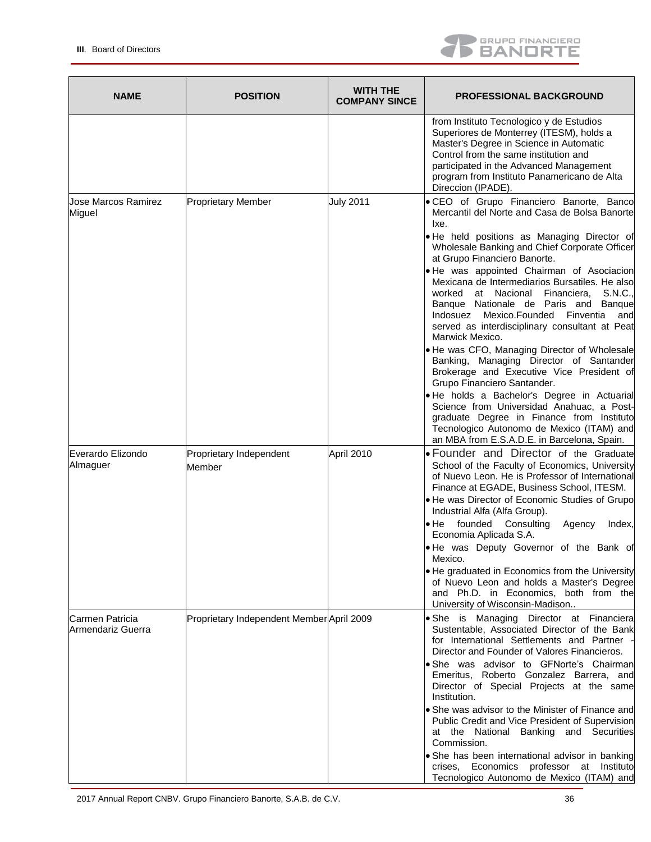

| <b>NAME</b>                          | <b>POSITION</b>                           | <b>WITH THE</b><br><b>COMPANY SINCE</b> | <b>PROFESSIONAL BACKGROUND</b>                                                                                                                                                                                                                                                                    |
|--------------------------------------|-------------------------------------------|-----------------------------------------|---------------------------------------------------------------------------------------------------------------------------------------------------------------------------------------------------------------------------------------------------------------------------------------------------|
|                                      |                                           |                                         | from Instituto Tecnologico y de Estudios<br>Superiores de Monterrey (ITESM), holds a<br>Master's Degree in Science in Automatic<br>Control from the same institution and<br>participated in the Advanced Management<br>program from Instituto Panamericano de Alta<br>Direccion (IPADE).          |
| Jose Marcos Ramirez<br>Miguel        | <b>Proprietary Member</b>                 | <b>July 2011</b>                        | · CEO of Grupo Financiero Banorte, Banco<br>Mercantil del Norte and Casa de Bolsa Banorte<br>lxe.                                                                                                                                                                                                 |
|                                      |                                           |                                         | . He held positions as Managing Director of<br>Wholesale Banking and Chief Corporate Officer<br>at Grupo Financiero Banorte.                                                                                                                                                                      |
|                                      |                                           |                                         | . He was appointed Chairman of Asociacion<br>Mexicana de Intermediarios Bursatiles. He also<br>at Nacional Financiera, S.N.C.,<br>worked<br>Banque Nationale de Paris and Banque<br>Indosuez Mexico.Founded Finventia<br>and<br>served as interdisciplinary consultant at Peat<br>Marwick Mexico. |
|                                      |                                           |                                         | . He was CFO, Managing Director of Wholesale<br>Banking, Managing Director of Santander<br>Brokerage and Executive Vice President of<br>Grupo Financiero Santander.                                                                                                                               |
|                                      |                                           |                                         | . He holds a Bachelor's Degree in Actuarial<br>Science from Universidad Anahuac, a Post-<br>graduate Degree in Finance from Instituto<br>Tecnologico Autonomo de Mexico (ITAM) and<br>an MBA from E.S.A.D.E. in Barcelona, Spain.                                                                 |
| Everardo Elizondo<br>Almaguer        | Proprietary Independent<br>Member         | April 2010                              | • Founder and Director of the Graduate<br>School of the Faculty of Economics, University<br>of Nuevo Leon. He is Professor of International<br>Finance at EGADE, Business School, ITESM.                                                                                                          |
|                                      |                                           |                                         | . He was Director of Economic Studies of Grupo<br>Industrial Alfa (Alfa Group).                                                                                                                                                                                                                   |
|                                      |                                           |                                         | • He founded Consulting<br>Agency<br>Index,<br>Economia Aplicada S.A.                                                                                                                                                                                                                             |
|                                      |                                           |                                         | . He was Deputy Governor of the Bank of<br>Mexico.                                                                                                                                                                                                                                                |
|                                      |                                           |                                         | • He graduated in Economics from the University<br>of Nuevo Leon and holds a Master's Degree<br>and Ph.D. in Economics, both from the<br>University of Wisconsin-Madison                                                                                                                          |
| Carmen Patricia<br>Armendariz Guerra | Proprietary Independent Member April 2009 |                                         | · She is Managing Director at Financiera<br>Sustentable, Associated Director of the Bank<br>for International Settlements and Partner<br>Director and Founder of Valores Financieros.                                                                                                             |
|                                      |                                           |                                         | . She was advisor to GFNorte's Chairman<br>Emeritus, Roberto Gonzalez Barrera, and<br>Director of Special Projects at the same<br>Institution.                                                                                                                                                    |
|                                      |                                           |                                         | • She was advisor to the Minister of Finance and<br>Public Credit and Vice President of Supervision<br>at the National Banking and Securities<br>Commission.                                                                                                                                      |
|                                      |                                           |                                         | · She has been international advisor in banking<br>crises, Economics professor at Instituto<br>Tecnologico Autonomo de Mexico (ITAM) and                                                                                                                                                          |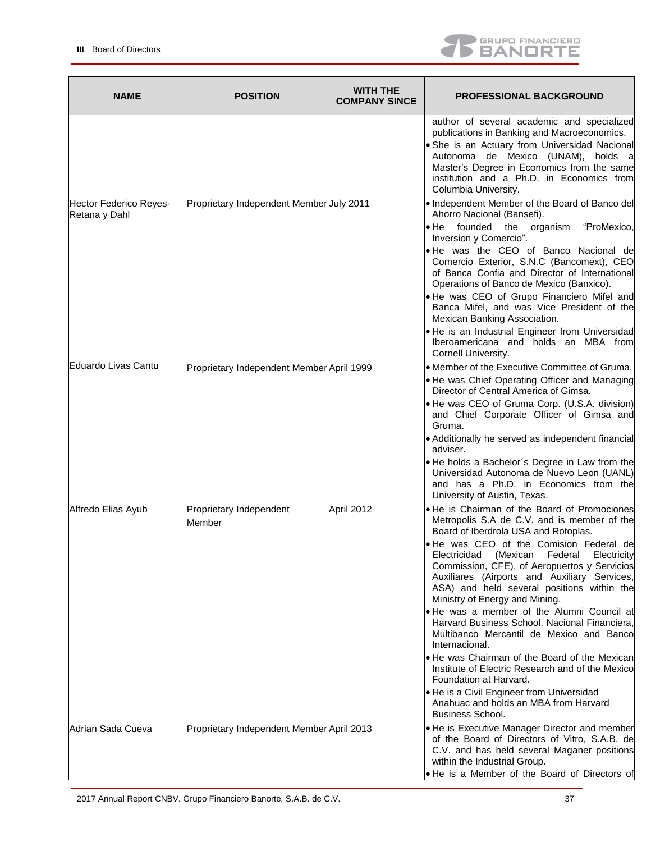

| <b>NAME</b>                             | <b>POSITION</b>                           | <b>WITH THE</b><br><b>COMPANY SINCE</b> | <b>PROFESSIONAL BACKGROUND</b>                                                                                                                                                                                                                                                                                                                                                                                                                                                                                                                                                                                                                                                                                                                                                                                          |
|-----------------------------------------|-------------------------------------------|-----------------------------------------|-------------------------------------------------------------------------------------------------------------------------------------------------------------------------------------------------------------------------------------------------------------------------------------------------------------------------------------------------------------------------------------------------------------------------------------------------------------------------------------------------------------------------------------------------------------------------------------------------------------------------------------------------------------------------------------------------------------------------------------------------------------------------------------------------------------------------|
|                                         |                                           |                                         | author of several academic and specialized<br>publications in Banking and Macroeconomics.<br>• She is an Actuary from Universidad Nacional<br>Autonoma de Mexico (UNAM), holds a<br>Master's Degree in Economics from the same<br>institution and a Ph.D. in Economics from<br>Columbia University.                                                                                                                                                                                                                                                                                                                                                                                                                                                                                                                     |
| Hector Federico Reyes-<br>Retana y Dahl | Proprietary Independent Member July 2011  |                                         | • Independent Member of the Board of Banco del<br>Ahorro Nacional (Bansefi).<br>• He founded the organism<br>"ProMexico,<br>Inversion y Comercio".<br>. He was the CEO of Banco Nacional de<br>Comercio Exterior, S.N.C (Bancomext), CEO<br>of Banca Confia and Director of International<br>Operations of Banco de Mexico (Banxico).<br>. He was CEO of Grupo Financiero Mifel and<br>Banca Mifel, and was Vice President of the<br>Mexican Banking Association.<br>. He is an Industrial Engineer from Universidad<br>Iberoamericana and holds an MBA from<br>Cornell University.                                                                                                                                                                                                                                     |
| Eduardo Livas Cantu                     | Proprietary Independent Member April 1999 |                                         | <b>• Member of the Executive Committee of Gruma.</b><br>• He was Chief Operating Officer and Managing<br>Director of Central America of Gimsa.<br>• He was CEO of Gruma Corp. (U.S.A. division)<br>and Chief Corporate Officer of Gimsa and<br>Gruma.<br>• Additionally he served as independent financial<br>adviser.<br>. He holds a Bachelor's Degree in Law from the<br>Universidad Autonoma de Nuevo Leon (UANL)<br>and has a Ph.D. in Economics from the<br>University of Austin, Texas.                                                                                                                                                                                                                                                                                                                          |
| Alfredo Elias Ayub                      | Proprietary Independent<br>Member         | April 2012                              | . He is Chairman of the Board of Promociones<br>Metropolis S.A de C.V. and is member of the<br>Board of Iberdrola USA and Rotoplas.<br>. He was CEO of the Comision Federal de<br>Electricidad (Mexican Federal Electricity<br>Commission, CFE), of Aeropuertos y Servicios<br>Auxiliares (Airports and Auxiliary Services,<br>ASA) and held several positions within the<br>Ministry of Energy and Mining.<br>. He was a member of the Alumni Council at<br>Harvard Business School, Nacional Financiera,<br>Multibanco Mercantil de Mexico and Bancol<br>Internacional.<br>• He was Chairman of the Board of the Mexican<br>Institute of Electric Research and of the Mexico<br>Foundation at Harvard.<br>He is a Civil Engineer from Universidad<br>Anahuac and holds an MBA from Harvard<br><b>Business School.</b> |
| lAdrian Sada Cueva                      | Proprietary Independent Member April 2013 |                                         | • He is Executive Manager Director and member<br>of the Board of Directors of Vitro, S.A.B. de<br>C.V. and has held several Maganer positions<br>within the Industrial Group.<br>• He is a Member of the Board of Directors of                                                                                                                                                                                                                                                                                                                                                                                                                                                                                                                                                                                          |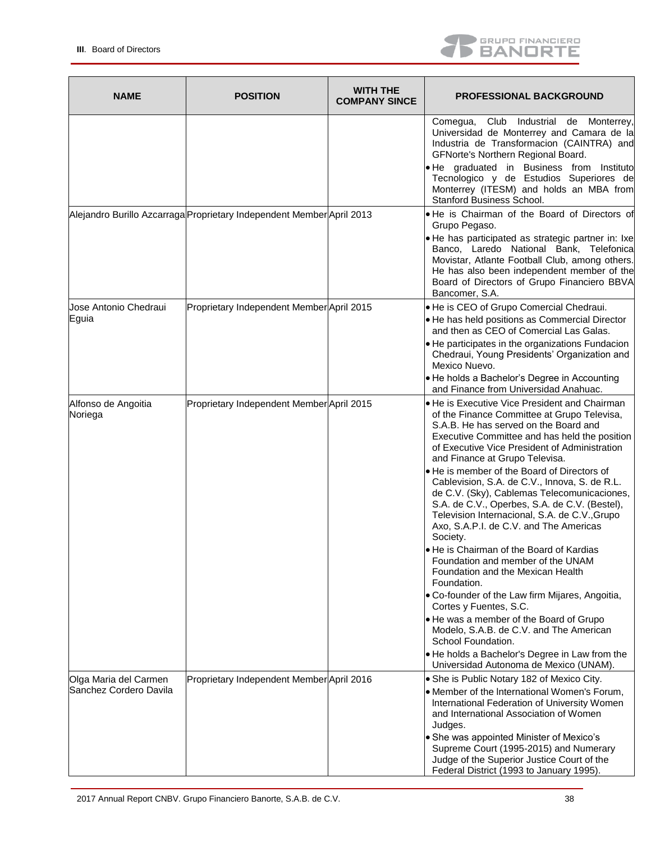

| <b>NAME</b>                                      | <b>POSITION</b>                                                       | <b>WITH THE</b><br><b>COMPANY SINCE</b> | <b>PROFESSIONAL BACKGROUND</b>                                                                                                                                                                                                                                                                                                                                                                                                                                                                                                                                                                                                                                                                                                                                                                                                                                                                                                                                                                              |
|--------------------------------------------------|-----------------------------------------------------------------------|-----------------------------------------|-------------------------------------------------------------------------------------------------------------------------------------------------------------------------------------------------------------------------------------------------------------------------------------------------------------------------------------------------------------------------------------------------------------------------------------------------------------------------------------------------------------------------------------------------------------------------------------------------------------------------------------------------------------------------------------------------------------------------------------------------------------------------------------------------------------------------------------------------------------------------------------------------------------------------------------------------------------------------------------------------------------|
|                                                  |                                                                       |                                         | Comegua, Club Industrial de Monterrey,<br>Universidad de Monterrey and Camara de la<br>Industria de Transformacion (CAINTRA) and<br>GFNorte's Northern Regional Board.<br>. He graduated in Business from Instituto<br>Tecnologico y de Estudios Superiores de<br>Monterrey (ITESM) and holds an MBA from<br>Stanford Business School.                                                                                                                                                                                                                                                                                                                                                                                                                                                                                                                                                                                                                                                                      |
|                                                  | Alejandro Burillo Azcarraga Proprietary Independent Member April 2013 |                                         | . He is Chairman of the Board of Directors of<br>Grupo Pegaso.<br>. He has participated as strategic partner in: Ixe<br>Banco, Laredo National Bank, Telefonica<br>Movistar, Atlante Football Club, among others.<br>He has also been independent member of the<br>Board of Directors of Grupo Financiero BBVA<br>Bancomer, S.A.                                                                                                                                                                                                                                                                                                                                                                                                                                                                                                                                                                                                                                                                            |
| Jose Antonio Chedraui<br>Eguia                   | Proprietary Independent Member April 2015                             |                                         | He is CEO of Grupo Comercial Chedraui.<br>. He has held positions as Commercial Director<br>and then as CEO of Comercial Las Galas.<br>• He participates in the organizations Fundacion<br>Chedraui, Young Presidents' Organization and<br>Mexico Nuevo.<br>• He holds a Bachelor's Degree in Accounting<br>and Finance from Universidad Anahuac.                                                                                                                                                                                                                                                                                                                                                                                                                                                                                                                                                                                                                                                           |
| Alfonso de Angoitia<br>Noriega                   | Proprietary Independent Member April 2015                             |                                         | • He is Executive Vice President and Chairman<br>of the Finance Committee at Grupo Televisa,<br>S.A.B. He has served on the Board and<br>Executive Committee and has held the position<br>of Executive Vice President of Administration<br>and Finance at Grupo Televisa.<br>le He is member of the Board of Directors of<br>Cablevision, S.A. de C.V., Innova, S. de R.L.<br>de C.V. (Sky), Cablemas Telecomunicaciones,<br>S.A. de C.V., Operbes, S.A. de C.V. (Bestel),<br>Television Internacional, S.A. de C.V., Grupo<br>Axo, S.A.P.I. de C.V. and The Americas<br>Society.<br>• He is Chairman of the Board of Kardias<br>Foundation and member of the UNAM<br>Foundation and the Mexican Health<br>Foundation.<br>• Co-founder of the Law firm Mijares, Angoitia,<br>Cortes y Fuentes, S.C.<br>• He was a member of the Board of Grupo<br>Modelo, S.A.B. de C.V. and The American<br>School Foundation.<br>. He holds a Bachelor's Degree in Law from the<br>Universidad Autonoma de Mexico (UNAM). |
| Olga Maria del Carmen<br>lSanchez Cordero Davila | Proprietary Independent Member April 2016                             |                                         | • She is Public Notary 182 of Mexico City.<br>• Member of the International Women's Forum,<br>International Federation of University Women<br>and International Association of Women<br>Judges.<br>• She was appointed Minister of Mexico's<br>Supreme Court (1995-2015) and Numerary<br>Judge of the Superior Justice Court of the<br>Federal District (1993 to January 1995).                                                                                                                                                                                                                                                                                                                                                                                                                                                                                                                                                                                                                             |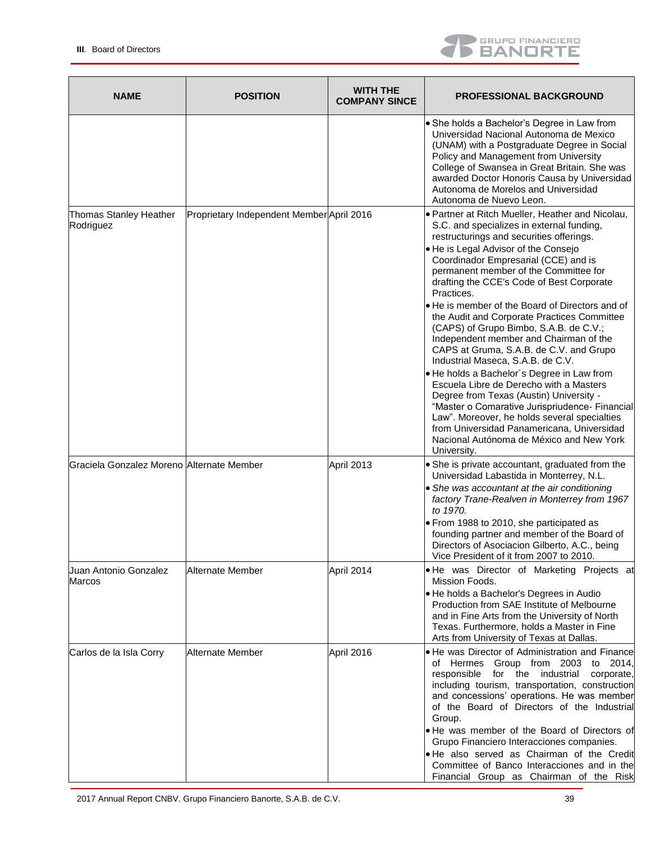

| <b>NAME</b>                               | <b>POSITION</b>                           | <b>WITH THE</b><br><b>COMPANY SINCE</b> | <b>PROFESSIONAL BACKGROUND</b>                                                                                                                                                                                                                                                                                                                                                                                                                                                                                                          |
|-------------------------------------------|-------------------------------------------|-----------------------------------------|-----------------------------------------------------------------------------------------------------------------------------------------------------------------------------------------------------------------------------------------------------------------------------------------------------------------------------------------------------------------------------------------------------------------------------------------------------------------------------------------------------------------------------------------|
|                                           |                                           |                                         | • She holds a Bachelor's Degree in Law from<br>Universidad Nacional Autonoma de Mexico<br>(UNAM) with a Postgraduate Degree in Social<br>Policy and Management from University<br>College of Swansea in Great Britain. She was<br>awarded Doctor Honoris Causa by Universidad<br>Autonoma de Morelos and Universidad<br>Autonoma de Nuevo Leon.                                                                                                                                                                                         |
| Thomas Stanley Heather<br>Rodriguez       | Proprietary Independent Member April 2016 |                                         | • Partner at Ritch Mueller, Heather and Nicolau,<br>S.C. and specializes in external funding,<br>restructurings and securities offerings.                                                                                                                                                                                                                                                                                                                                                                                               |
|                                           |                                           |                                         | • He is Legal Advisor of the Consejo<br>Coordinador Empresarial (CCE) and is<br>permanent member of the Committee for<br>drafting the CCE's Code of Best Corporate<br>Practices.                                                                                                                                                                                                                                                                                                                                                        |
|                                           |                                           |                                         | He is member of the Board of Directors and of<br>the Audit and Corporate Practices Committee<br>(CAPS) of Grupo Bimbo, S.A.B. de C.V.;<br>Independent member and Chairman of the<br>CAPS at Gruma, S.A.B. de C.V. and Grupo<br>Industrial Maseca, S.A.B. de C.V.                                                                                                                                                                                                                                                                        |
|                                           |                                           |                                         | ● He holds a Bachelor's Degree in Law from<br>Escuela Libre de Derecho with a Masters<br>Degree from Texas (Austin) University -<br>"Master o Comarative Jurispriudence- Financial<br>Law". Moreover, he holds several specialties<br>from Universidad Panamericana, Universidad<br>Nacional Autónoma de México and New York<br>University.                                                                                                                                                                                             |
| Graciela Gonzalez Moreno Alternate Member |                                           | April 2013                              | • She is private accountant, graduated from the<br>Universidad Labastida in Monterrey, N.L.<br>• She was accountant at the air conditioning<br>factory Trane-Realven in Monterrey from 1967<br>to 1970.                                                                                                                                                                                                                                                                                                                                 |
|                                           |                                           |                                         | • From 1988 to 2010, she participated as<br>founding partner and member of the Board of<br>Directors of Asociacion Gilberto, A.C., being<br>Vice President of it from 2007 to 2010.                                                                                                                                                                                                                                                                                                                                                     |
| Juan Antonio Gonzalez<br>Marcos           | Alternate Member                          | April 2014                              | • He was Director of Marketing Projects at<br>Mission Foods.                                                                                                                                                                                                                                                                                                                                                                                                                                                                            |
|                                           |                                           |                                         | • He holds a Bachelor's Degrees in Audio<br>Production from SAE Institute of Melbourne<br>and in Fine Arts from the University of North<br>Texas. Furthermore, holds a Master in Fine<br>Arts from University of Texas at Dallas.                                                                                                                                                                                                                                                                                                       |
| Carlos de la Isla Corry                   | Alternate Member                          | April 2016                              | • He was Director of Administration and Finance<br>of Hermes Group from 2003 to 2014,<br>responsible<br>for the industrial<br>corporate,<br>including tourism, transportation, construction<br>and concessions' operations. He was member<br>of the Board of Directors of the Industrial<br>Group.<br>• He was member of the Board of Directors of<br>Grupo Financiero Interacciones companies.<br>. He also served as Chairman of the Credit<br>Committee of Banco Interacciones and in the<br>Financial Group as Chairman of the Risk |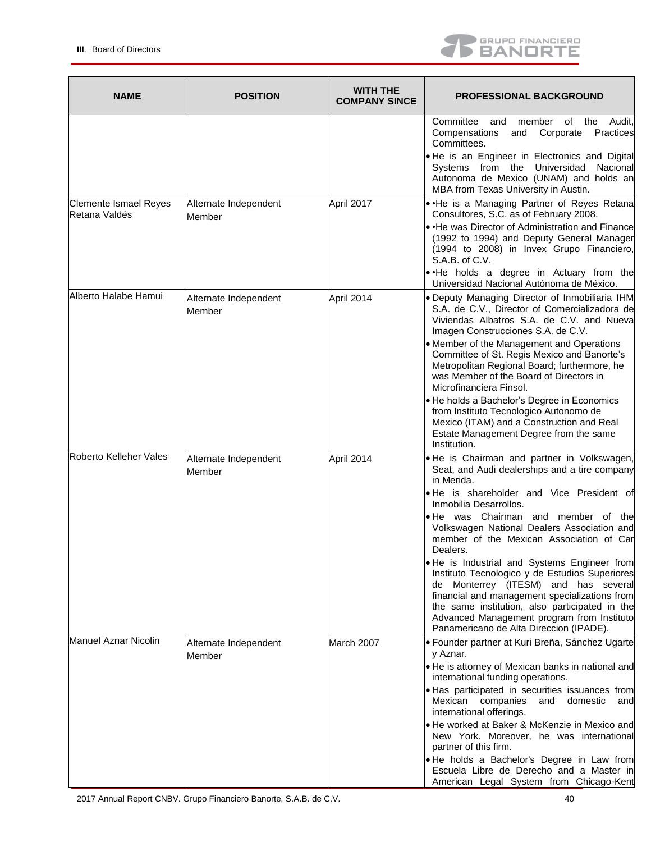

| <b>NAME</b>                                   | <b>POSITION</b>                 | <b>WITH THE</b><br><b>COMPANY SINCE</b> | <b>PROFESSIONAL BACKGROUND</b>                                                                                                                                                                                                                                                                                                                                                                                                                                                                                                                                                                                                                                        |
|-----------------------------------------------|---------------------------------|-----------------------------------------|-----------------------------------------------------------------------------------------------------------------------------------------------------------------------------------------------------------------------------------------------------------------------------------------------------------------------------------------------------------------------------------------------------------------------------------------------------------------------------------------------------------------------------------------------------------------------------------------------------------------------------------------------------------------------|
|                                               |                                 |                                         | Audit.<br>Committee<br>member of the<br>and<br>Compensations<br>Practices<br>and<br>Corporate<br>Committees.<br>. He is an Engineer in Electronics and Digital<br>Systems from the Universidad<br>Nacional<br>Autonoma de Mexico (UNAM) and holds an<br>MBA from Texas University in Austin.                                                                                                                                                                                                                                                                                                                                                                          |
| <b>Clemente Ismael Reyes</b><br>Retana Valdés | Alternate Independent<br>Member | April 2017                              | . He is a Managing Partner of Reyes Retana<br>Consultores, S.C. as of February 2008.<br>• He was Director of Administration and Finance<br>(1992 to 1994) and Deputy General Manager<br>(1994 to 2008) in Invex Grupo Financiero,<br>S.A.B. of C.V.<br>.He holds a degree in Actuary from the<br>Universidad Nacional Autónoma de México.                                                                                                                                                                                                                                                                                                                             |
| Alberto Halabe Hamui                          | Alternate Independent<br>Member | April 2014                              | . Deputy Managing Director of Inmobiliaria IHM<br>S.A. de C.V., Director of Comercializadora de<br>Viviendas Albatros S.A. de C.V. and Nueva<br>Imagen Construcciones S.A. de C.V.<br>• Member of the Management and Operations<br>Committee of St. Regis Mexico and Banorte's<br>Metropolitan Regional Board; furthermore, he<br>was Member of the Board of Directors in<br>Microfinanciera Finsol.<br>. He holds a Bachelor's Degree in Economics<br>from Instituto Tecnologico Autonomo de<br>Mexico (ITAM) and a Construction and Real<br>Estate Management Degree from the same<br>Institution.                                                                  |
| Roberto Kelleher Vales                        | Alternate Independent<br>Member | April 2014                              | . He is Chairman and partner in Volkswagen,<br>Seat, and Audi dealerships and a tire company<br>in Merida.<br>. He is shareholder and Vice President of<br>Inmobilia Desarrollos.<br>. He was Chairman and member of the<br>Volkswagen National Dealers Association and<br>member of the Mexican Association of Car<br>Dealers.<br>. He is Industrial and Systems Engineer from<br>Instituto Tecnologico y de Estudios Superiores<br>de Monterrey (ITESM) and has several<br>financial and management specializations from<br>the same institution, also participated in the<br>Advanced Management program from Instituto<br>Panamericano de Alta Direccion (IPADE). |
| Manuel Aznar Nicolin                          | Alternate Independent<br>Member | March 2007                              | · Founder partner at Kuri Breña, Sánchez Ugarte<br>y Aznar.<br>. He is attorney of Mexican banks in national and<br>international funding operations.<br>• Has participated in securities issuances from<br>Mexican companies and<br>domestic<br>and<br>international offerings.<br>• He worked at Baker & McKenzie in Mexico and<br>New York. Moreover, he was international<br>partner of this firm.<br>. He holds a Bachelor's Degree in Law from<br>Escuela Libre de Derecho and a Master in<br>American Legal System from Chicago-Kent                                                                                                                           |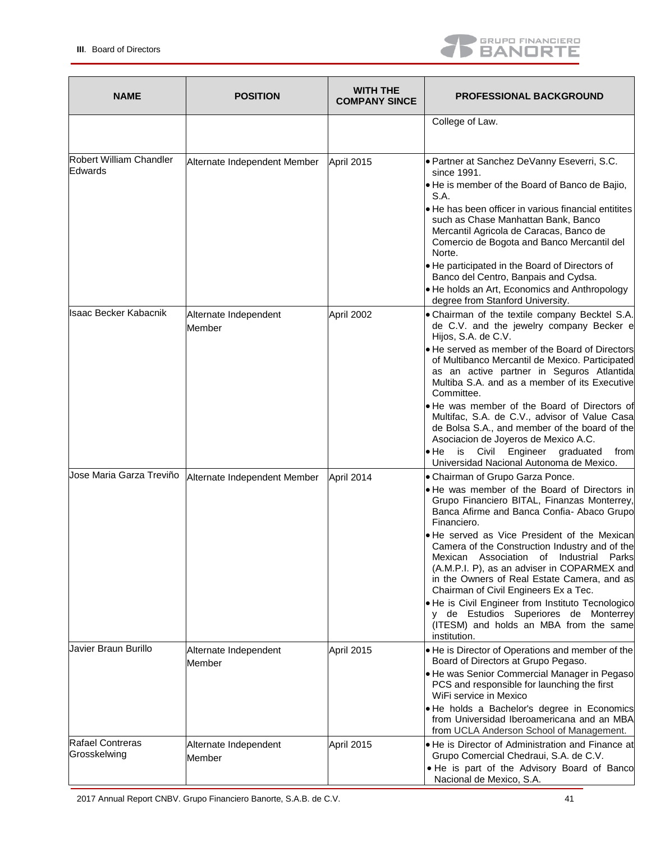

| <b>NAME</b>                         | <b>POSITION</b>                 | <b>WITH THE</b><br><b>COMPANY SINCE</b> | <b>PROFESSIONAL BACKGROUND</b>                                                                                                                                                                                                                                                                                                                                                                                                                                                                                                                                                                                                         |
|-------------------------------------|---------------------------------|-----------------------------------------|----------------------------------------------------------------------------------------------------------------------------------------------------------------------------------------------------------------------------------------------------------------------------------------------------------------------------------------------------------------------------------------------------------------------------------------------------------------------------------------------------------------------------------------------------------------------------------------------------------------------------------------|
|                                     |                                 |                                         | College of Law.                                                                                                                                                                                                                                                                                                                                                                                                                                                                                                                                                                                                                        |
| Robert William Chandler<br>lEdwards | Alternate Independent Member    | April 2015                              | • Partner at Sanchez DeVanny Eseverri, S.C.<br>since 1991.<br>● He is member of the Board of Banco de Bajio,<br>S.A.<br>• He has been officer in various financial entitites<br>such as Chase Manhattan Bank, Banco<br>Mercantil Agricola de Caracas, Banco de<br>Comercio de Bogota and Banco Mercantil del<br>Norte.<br>• He participated in the Board of Directors of<br>Banco del Centro, Banpais and Cydsa.<br>• He holds an Art, Economics and Anthropology<br>degree from Stanford University.                                                                                                                                  |
| Isaac Becker Kabacnik               | Alternate Independent<br>Member | April 2002                              | • Chairman of the textile company Becktel S.A.<br>de C.V. and the jewelry company Becker e<br>Hijos, S.A. de C.V.<br>• He served as member of the Board of Directors<br>of Multibanco Mercantil de Mexico. Participated<br>as an active partner in Seguros Atlantida<br>Multiba S.A. and as a member of its Executive<br>Committee.<br>• He was member of the Board of Directors of<br>Multifac, S.A. de C.V., advisor of Value Casa<br>de Bolsa S.A., and member of the board of the<br>Asociacion de Joyeros de Mexico A.C.<br>Civil<br>Engineer graduated<br>$\bullet$ He<br>is<br>from<br>Universidad Nacional Autonoma de Mexico. |
| Jose Maria Garza Treviño            | Alternate Independent Member    | April 2014                              | • Chairman of Grupo Garza Ponce.<br>. He was member of the Board of Directors in<br>Grupo Financiero BITAL, Finanzas Monterrey,<br>Banca Afirme and Banca Confia- Abaco Grupo<br>Financiero.<br>He served as Vice President of the Mexican<br>Camera of the Construction Industry and of the<br>Mexican Association of Industrial Parks<br>(A.M.P.I. P), as an adviser in COPARMEX and<br>in the Owners of Real Estate Camera, and as<br>Chairman of Civil Engineers Ex a Tec.<br>• He is Civil Engineer from Instituto Tecnologico<br>y de Estudios Superiores de Monterrey<br>(ITESM) and holds an MBA from the same<br>institution. |
| Javier Braun Burillo                | Alternate Independent<br>Member | April 2015                              | • He is Director of Operations and member of the<br>Board of Directors at Grupo Pegaso.<br>• He was Senior Commercial Manager in Pegaso<br>PCS and responsible for launching the first<br>WiFi service in Mexico<br>. He holds a Bachelor's degree in Economics<br>from Universidad Iberoamericana and an MBA<br>from UCLA Anderson School of Management.                                                                                                                                                                                                                                                                              |
| Rafael Contreras<br>Grosskelwing    | Alternate Independent<br>Member | April 2015                              | • He is Director of Administration and Finance at<br>Grupo Comercial Chedraui, S.A. de C.V.<br>. He is part of the Advisory Board of Banco<br>Nacional de Mexico, S.A.                                                                                                                                                                                                                                                                                                                                                                                                                                                                 |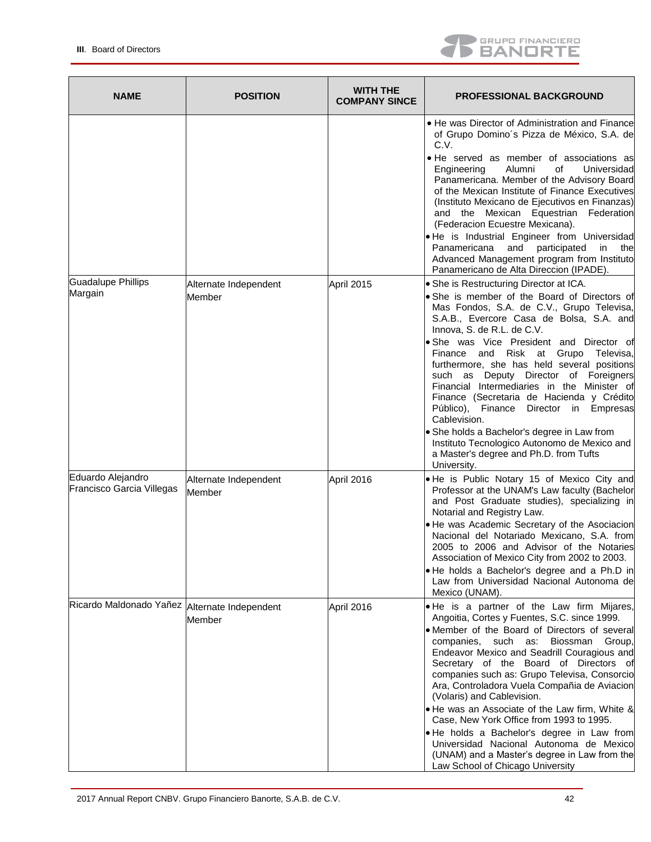

| <b>NAME</b>                                    | <b>POSITION</b>                 | <b>WITH THE</b><br><b>COMPANY SINCE</b> | <b>PROFESSIONAL BACKGROUND</b>                                                                                                                                                                                                                                                                                                                                                                                                                                                                                                                                                                                                                                                                                   |
|------------------------------------------------|---------------------------------|-----------------------------------------|------------------------------------------------------------------------------------------------------------------------------------------------------------------------------------------------------------------------------------------------------------------------------------------------------------------------------------------------------------------------------------------------------------------------------------------------------------------------------------------------------------------------------------------------------------------------------------------------------------------------------------------------------------------------------------------------------------------|
|                                                |                                 |                                         | • He was Director of Administration and Finance<br>of Grupo Domino's Pizza de México, S.A. de<br>C.V.<br>• He served as member of associations as<br>Alumni<br>of<br>Universidad<br>Engineering<br>Panamericana. Member of the Advisory Board<br>of the Mexican Institute of Finance Executives<br>(Instituto Mexicano de Ejecutivos en Finanzas)<br>and the Mexican Equestrian Federation<br>(Federacion Ecuestre Mexicana).<br>. He is Industrial Engineer from Universidad<br>participated<br>Panamericana<br>and<br>in<br>the<br>Advanced Management program from Instituto<br>Panamericano de Alta Direccion (IPADE).                                                                                       |
| <b>Guadalupe Phillips</b><br>Margain           | Alternate Independent<br>Member | April 2015                              | • She is Restructuring Director at ICA.<br>. She is member of the Board of Directors of<br>Mas Fondos, S.A. de C.V., Grupo Televisa,<br>S.A.B., Evercore Casa de Bolsa, S.A. and<br>Innova, S. de R.L. de C.V.<br>• She was Vice President and Director of<br>and<br>Risk at Grupo<br>Televisa,<br>Finance<br>furthermore, she has held several positions<br>such as Deputy Director of Foreigners<br>Financial Intermediaries in the Minister of<br>Finance (Secretaria de Hacienda y Crédito<br>Público), Finance Director in Empresas<br>Cablevision.<br>• She holds a Bachelor's degree in Law from<br>Instituto Tecnologico Autonomo de Mexico and<br>a Master's degree and Ph.D. from Tufts<br>University. |
| Eduardo Alejandro<br>Francisco Garcia Villegas | Alternate Independent<br>Member | April 2016                              | . He is Public Notary 15 of Mexico City and<br>Professor at the UNAM's Law faculty (Bachelor<br>and Post Graduate studies), specializing in<br>Notarial and Registry Law.<br>. He was Academic Secretary of the Asociacion<br>Nacional del Notariado Mexicano, S.A. from<br>2005 to 2006 and Advisor of the Notaries<br>Association of Mexico City from 2002 to 2003.<br>. He holds a Bachelor's degree and a Ph.D in<br>Law from Universidad Nacional Autonoma de<br>Mexico (UNAM).                                                                                                                                                                                                                             |
| Ricardo Maldonado Yañez Alternate Independent  | Member                          | April 2016                              | . He is a partner of the Law firm Mijares,<br>Angoitia, Cortes y Fuentes, S.C. since 1999.<br>• Member of the Board of Directors of several<br>companies, such as: Biossman<br>Group,<br>Endeavor Mexico and Seadrill Couragious and<br>Secretary of the Board of Directors of<br>companies such as: Grupo Televisa, Consorcio<br>Ara, Controladora Vuela Compañia de Aviacion<br>(Volaris) and Cablevision.<br>. He was an Associate of the Law firm, White &<br>Case, New York Office from 1993 to 1995.<br>• He holds a Bachelor's degree in Law from<br>Universidad Nacional Autonoma de Mexico<br>(UNAM) and a Master's degree in Law from the<br>Law School of Chicago University                          |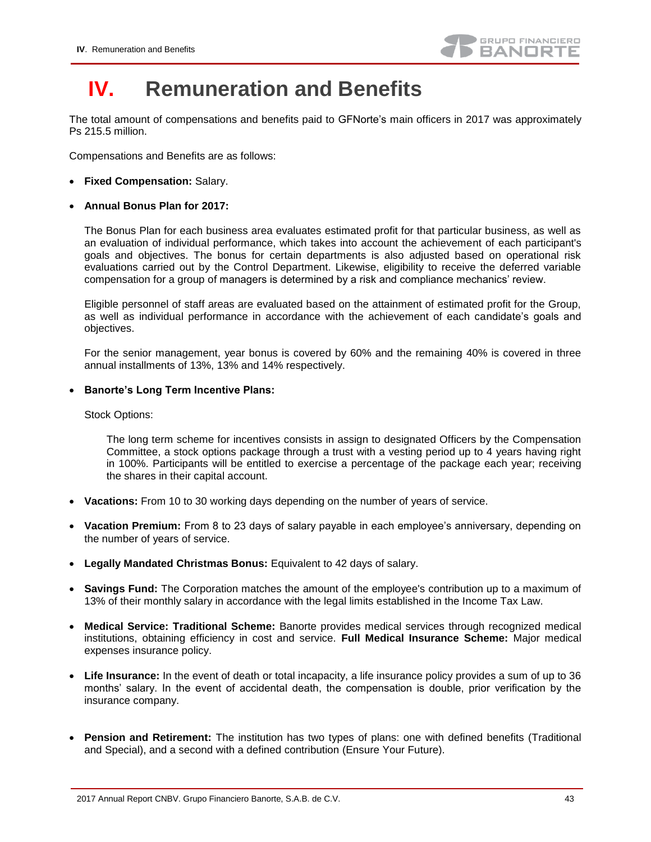

## <span id="page-42-0"></span>**IV. Remuneration and Benefits**

The total amount of compensations and benefits paid to GFNorte's main officers in 2017 was approximately Ps 215.5 million.

Compensations and Benefits are as follows:

- **Fixed Compensation:** Salary.
- **Annual Bonus Plan for 2017:**

The Bonus Plan for each business area evaluates estimated profit for that particular business, as well as an evaluation of individual performance, which takes into account the achievement of each participant's goals and objectives. The bonus for certain departments is also adjusted based on operational risk evaluations carried out by the Control Department. Likewise, eligibility to receive the deferred variable compensation for a group of managers is determined by a risk and compliance mechanics' review.

Eligible personnel of staff areas are evaluated based on the attainment of estimated profit for the Group, as well as individual performance in accordance with the achievement of each candidate's goals and objectives.

For the senior management, year bonus is covered by 60% and the remaining 40% is covered in three annual installments of 13%, 13% and 14% respectively.

**Banorte's Long Term Incentive Plans:**

Stock Options:

The long term scheme for incentives consists in assign to designated Officers by the Compensation Committee, a stock options package through a trust with a vesting period up to 4 years having right in 100%. Participants will be entitled to exercise a percentage of the package each year; receiving the shares in their capital account.

- **Vacations:** From 10 to 30 working days depending on the number of years of service.
- **Vacation Premium:** From 8 to 23 days of salary payable in each employee's anniversary, depending on the number of years of service.
- **Legally Mandated Christmas Bonus:** Equivalent to 42 days of salary.
- **Savings Fund:** The Corporation matches the amount of the employee's contribution up to a maximum of 13% of their monthly salary in accordance with the legal limits established in the Income Tax Law.
- **Medical Service: Traditional Scheme:** Banorte provides medical services through recognized medical institutions, obtaining efficiency in cost and service. **Full Medical Insurance Scheme:** Major medical expenses insurance policy.
- **Life Insurance:** In the event of death or total incapacity, a life insurance policy provides a sum of up to 36 months' salary. In the event of accidental death, the compensation is double, prior verification by the insurance company.
- **Pension and Retirement:** The institution has two types of plans: one with defined benefits (Traditional and Special), and a second with a defined contribution (Ensure Your Future).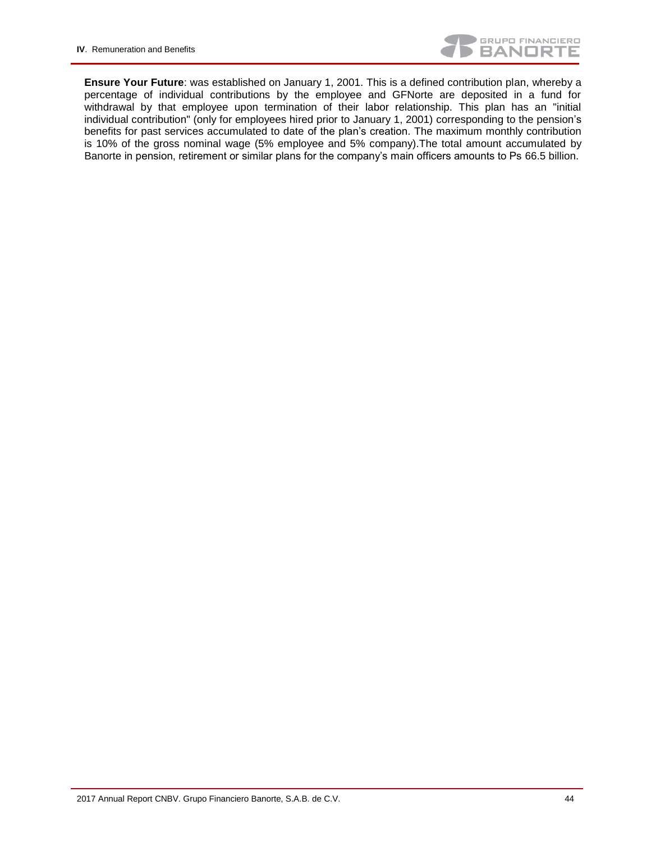

**Ensure Your Future**: was established on January 1, 2001. This is a defined contribution plan, whereby a percentage of individual contributions by the employee and GFNorte are deposited in a fund for withdrawal by that employee upon termination of their labor relationship. This plan has an "initial individual contribution" (only for employees hired prior to January 1, 2001) corresponding to the pension's benefits for past services accumulated to date of the plan's creation. The maximum monthly contribution is 10% of the gross nominal wage (5% employee and 5% company).The total amount accumulated by Banorte in pension, retirement or similar plans for the company's main officers amounts to Ps 66.5 billion.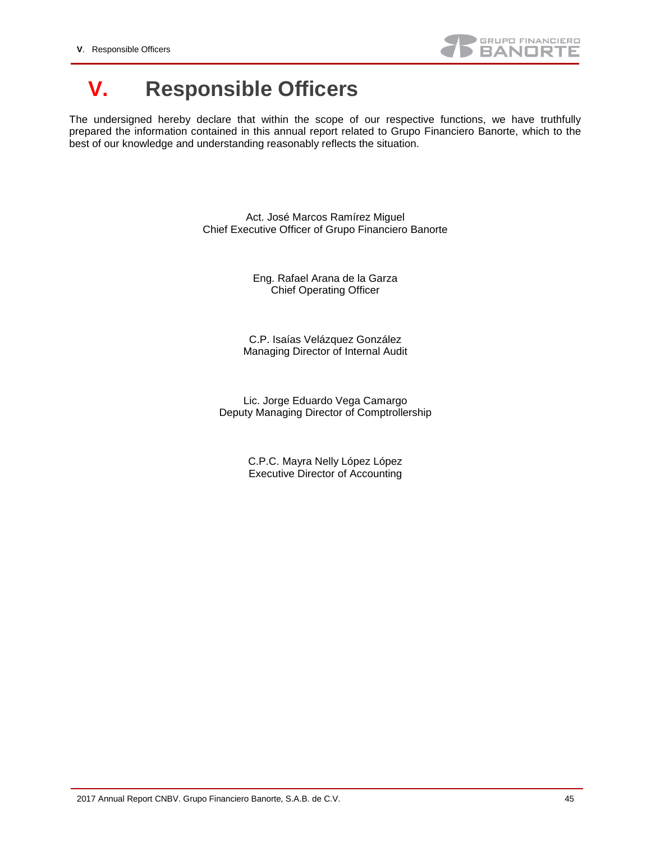

## <span id="page-44-0"></span>**V. Responsible Officers**

The undersigned hereby declare that within the scope of our respective functions, we have truthfully prepared the information contained in this annual report related to Grupo Financiero Banorte, which to the best of our knowledge and understanding reasonably reflects the situation.

> Act. José Marcos Ramírez Miguel Chief Executive Officer of Grupo Financiero Banorte

> > Eng. Rafael Arana de la Garza Chief Operating Officer

C.P. Isaías Velázquez González Managing Director of Internal Audit

Lic. Jorge Eduardo Vega Camargo Deputy Managing Director of Comptrollership

> C.P.C. Mayra Nelly López López Executive Director of Accounting